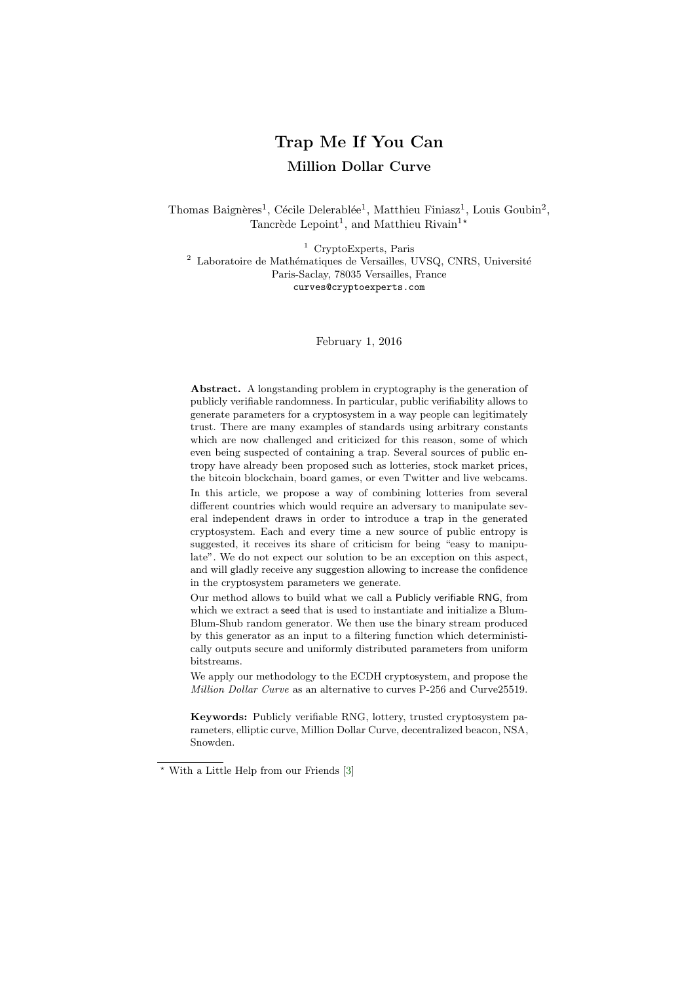# Trap Me If You Can Million Dollar Curve

Thomas Baignères<sup>1</sup>, Cécile Delerablée<sup>1</sup>, Matthieu Finiasz<sup>1</sup>, Louis Goubin<sup>2</sup>, Tancrède Lepoint<sup>1</sup>, and Matthieu Rivain<sup>1\*</sup>

<sup>1</sup> CryptoExperts, Paris  $2$  Laboratoire de Mathématiques de Versailles, UVSQ, CNRS, Université Paris-Saclay, 78035 Versailles, France curves@cryptoexperts.com

February 1, 2016

Abstract. A longstanding problem in cryptography is the generation of publicly verifiable randomness. In particular, public verifiability allows to generate parameters for a cryptosystem in a way people can legitimately trust. There are many examples of standards using arbitrary constants which are now challenged and criticized for this reason, some of which even being suspected of containing a trap. Several sources of public entropy have already been proposed such as lotteries, stock market prices, the bitcoin blockchain, board games, or even Twitter and live webcams. In this article, we propose a way of combining lotteries from several different countries which would require an adversary to manipulate several independent draws in order to introduce a trap in the generated cryptosystem. Each and every time a new source of public entropy is suggested, it receives its share of criticism for being "easy to manipulate". We do not expect our solution to be an exception on this aspect, and will gladly receive any suggestion allowing to increase the confidence in the cryptosystem parameters we generate.

Our method allows to build what we call a Publicly verifiable RNG, from which we extract a seed that is used to instantiate and initialize a Blum-Blum-Shub random generator. We then use the binary stream produced by this generator as an input to a filtering function which deterministically outputs secure and uniformly distributed parameters from uniform bitstreams.

We apply our methodology to the ECDH cryptosystem, and propose the Million Dollar Curve as an alternative to curves P-256 and Curve25519.

Keywords: Publicly verifiable RNG, lottery, trusted cryptosystem parameters, elliptic curve, Million Dollar Curve, decentralized beacon, NSA, Snowden.

<sup>?</sup> With a Little Help from our Friends [\[3\]](#page-32-0)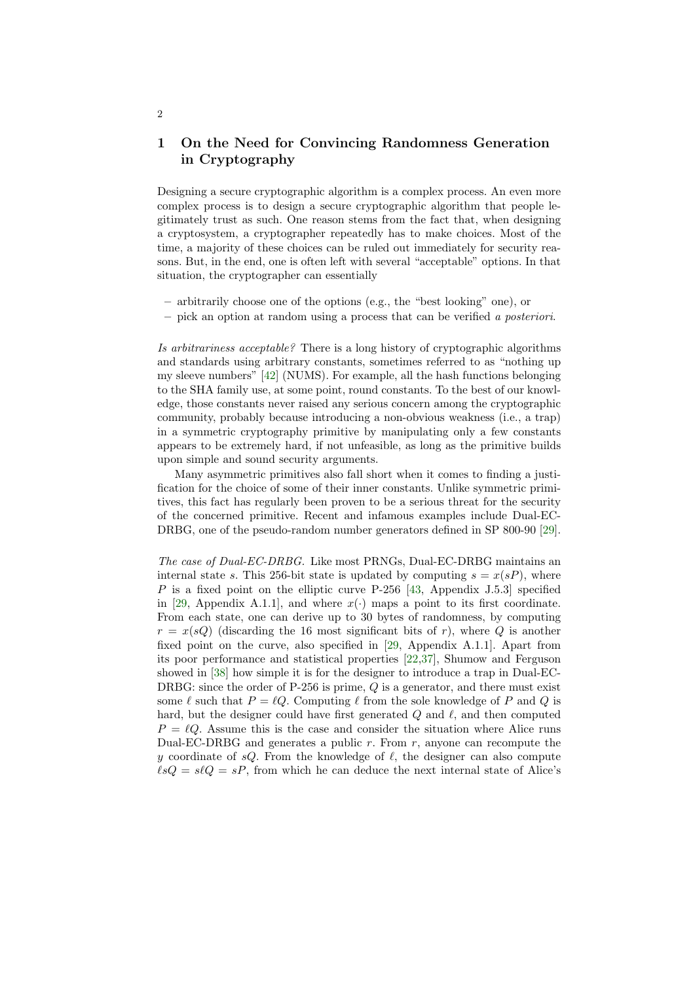# <span id="page-1-0"></span>1 On the Need for Convincing Randomness Generation in Cryptography

Designing a secure cryptographic algorithm is a complex process. An even more complex process is to design a secure cryptographic algorithm that people legitimately trust as such. One reason stems from the fact that, when designing a cryptosystem, a cryptographer repeatedly has to make choices. Most of the time, a majority of these choices can be ruled out immediately for security reasons. But, in the end, one is often left with several "acceptable" options. In that situation, the cryptographer can essentially

- arbitrarily choose one of the options (e.g., the "best looking" one), or
- pick an option at random using a process that can be verified a posteriori.

Is arbitrariness acceptable? There is a long history of cryptographic algorithms and standards using arbitrary constants, sometimes referred to as "nothing up my sleeve numbers" [\[42\]](#page-34-0) (NUMS). For example, all the hash functions belonging to the SHA family use, at some point, round constants. To the best of our knowledge, those constants never raised any serious concern among the cryptographic community, probably because introducing a non-obvious weakness (i.e., a trap) in a symmetric cryptography primitive by manipulating only a few constants appears to be extremely hard, if not unfeasible, as long as the primitive builds upon simple and sound security arguments.

Many asymmetric primitives also fall short when it comes to finding a justification for the choice of some of their inner constants. Unlike symmetric primitives, this fact has regularly been proven to be a serious threat for the security of the concerned primitive. Recent and infamous examples include Dual-EC-DRBG, one of the pseudo-random number generators defined in SP 800-90 [\[29\]](#page-33-0).

The case of Dual-EC-DRBG. Like most PRNGs, Dual-EC-DRBG maintains an internal state s. This 256-bit state is updated by computing  $s = x(sP)$ , where  $P$  is a fixed point on the elliptic curve P-256 [\[43,](#page-34-1) Appendix J.5.3] specified in [\[29,](#page-33-0) Appendix A.1.1], and where  $x(\cdot)$  maps a point to its first coordinate. From each state, one can derive up to 30 bytes of randomness, by computing  $r = x(sQ)$  (discarding the 16 most significant bits of r), where Q is another fixed point on the curve, also specified in [\[29,](#page-33-0) Appendix A.1.1]. Apart from its poor performance and statistical properties [\[22](#page-33-1)[,37\]](#page-34-2), Shumow and Ferguson showed in [\[38\]](#page-34-3) how simple it is for the designer to introduce a trap in Dual-EC-DRBG: since the order of P-256 is prime,  $Q$  is a generator, and there must exist some  $\ell$  such that  $P = \ell Q$ . Computing  $\ell$  from the sole knowledge of P and Q is hard, but the designer could have first generated  $Q$  and  $\ell$ , and then computed  $P = \ell Q$ . Assume this is the case and consider the situation where Alice runs Dual-EC-DRBG and generates a public  $r$ . From  $r$ , anyone can recompute the y coordinate of  $sQ$ . From the knowledge of  $\ell$ , the designer can also compute  $\ell sQ = s\ell Q = sP$ , from which he can deduce the next internal state of Alice's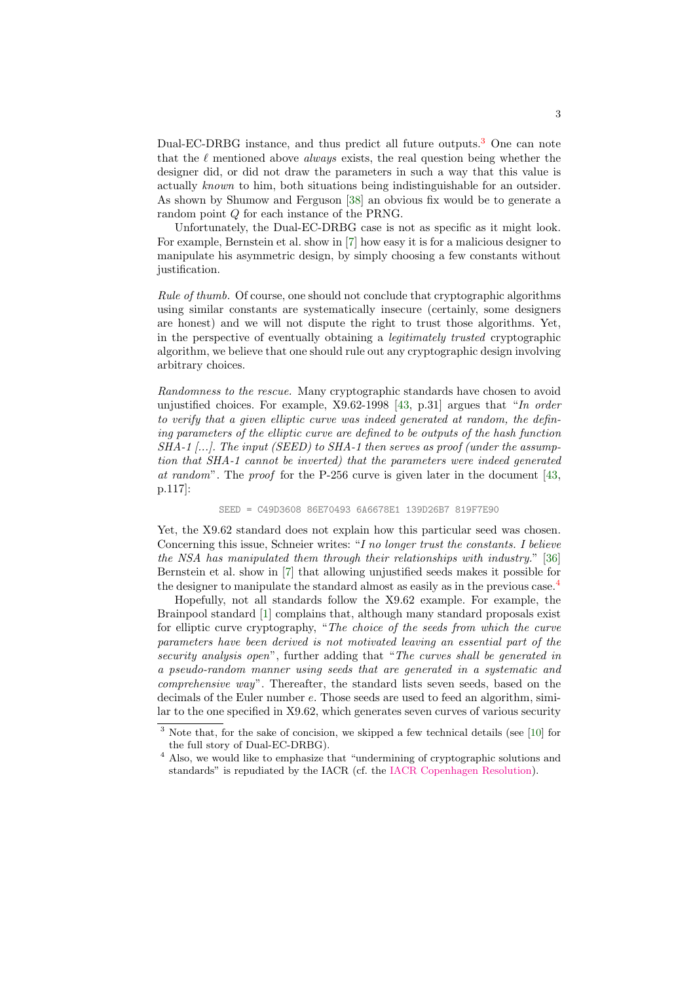Dual-EC-DRBG instance, and thus predict all future outputs.[3](#page-2-0) One can note that the  $\ell$  mentioned above *always* exists, the real question being whether the designer did, or did not draw the parameters in such a way that this value is actually known to him, both situations being indistinguishable for an outsider. As shown by Shumow and Ferguson [\[38\]](#page-34-3) an obvious fix would be to generate a random point Q for each instance of the PRNG.

Unfortunately, the Dual-EC-DRBG case is not as specific as it might look. For example, Bernstein et al. show in [\[7\]](#page-32-1) how easy it is for a malicious designer to manipulate his asymmetric design, by simply choosing a few constants without justification.

Rule of thumb. Of course, one should not conclude that cryptographic algorithms using similar constants are systematically insecure (certainly, some designers are honest) and we will not dispute the right to trust those algorithms. Yet, in the perspective of eventually obtaining a legitimately trusted cryptographic algorithm, we believe that one should rule out any cryptographic design involving arbitrary choices.

Randomness to the rescue. Many cryptographic standards have chosen to avoid unjustified choices. For example,  $X9.62$ -1998 [\[43,](#page-34-1) p.31] argues that "In order to verify that a given elliptic curve was indeed generated at random, the defining parameters of the elliptic curve are defined to be outputs of the hash function  $SHA-1$  [...]. The input (SEED) to SHA-1 then serves as proof (under the assumption that SHA-1 cannot be inverted) that the parameters were indeed generated at random". The proof for the P-256 curve is given later in the document [\[43,](#page-34-1) p.117]:

#### SEED = C49D3608 86E70493 6A6678E1 139D26B7 819F7E90

Yet, the X9.62 standard does not explain how this particular seed was chosen. Concerning this issue, Schneier writes: "I no longer trust the constants. I believe the NSA has manipulated them through their relationships with industry." [\[36\]](#page-34-4) Bernstein et al. show in [\[7\]](#page-32-1) that allowing unjustified seeds makes it possible for the designer to manipulate the standard almost as easily as in the previous case.<sup>[4](#page-2-1)</sup>

Hopefully, not all standards follow the X9.62 example. For example, the Brainpool standard [\[1\]](#page-32-2) complains that, although many standard proposals exist for elliptic curve cryptography, "The choice of the seeds from which the curve parameters have been derived is not motivated leaving an essential part of the security analysis open", further adding that "The curves shall be generated in a pseudo-random manner using seeds that are generated in a systematic and comprehensive way". Thereafter, the standard lists seven seeds, based on the decimals of the Euler number e. Those seeds are used to feed an algorithm, similar to the one specified in X9.62, which generates seven curves of various security

<span id="page-2-0"></span><sup>&</sup>lt;sup>3</sup> Note that, for the sake of concision, we skipped a few technical details (see [\[10\]](#page-32-3) for the full story of Dual-EC-DRBG).

<span id="page-2-1"></span><sup>&</sup>lt;sup>4</sup> Also, we would like to emphasize that "undermining of cryptographic solutions and standards" is repudiated by the IACR (cf. the [IACR Copenhagen Resolution\)](https://www.iacr.org/misc/statement-May2014.html).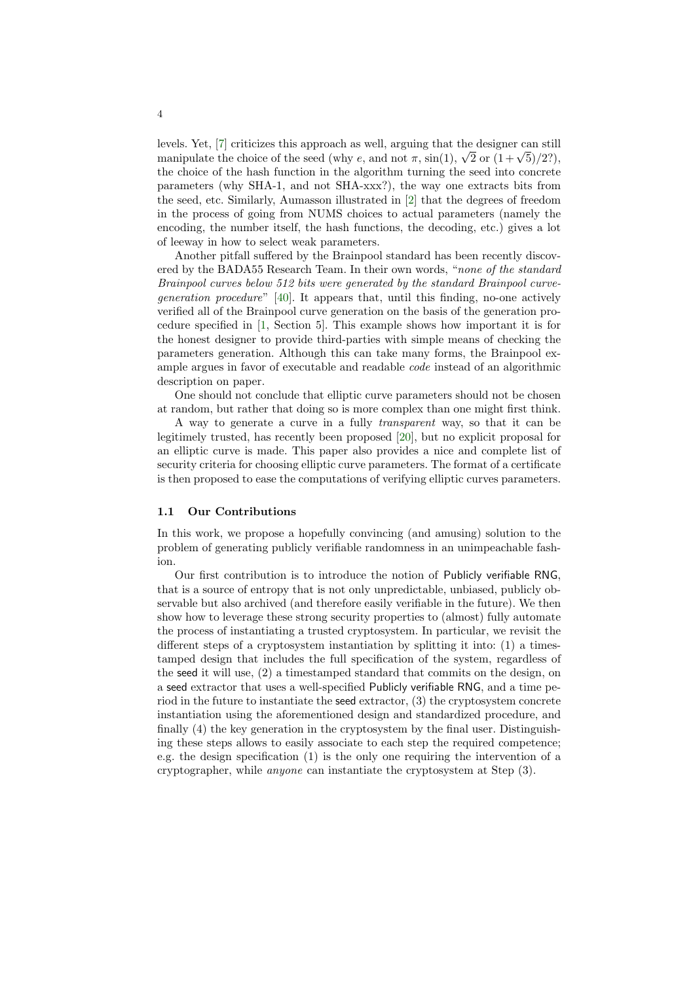levels. Yet, [\[7\]](#page-32-1) criticizes this approach as well, arguing that the designer can still nevels. Yet, [*i*] criticizes this approach as well, arguing that the designer can still<br>manipulate the choice of the seed (why e, and not  $\pi$ , sin(1),  $\sqrt{2}$  or  $(1 + \sqrt{5})/2$ ?), the choice of the hash function in the algorithm turning the seed into concrete parameters (why SHA-1, and not SHA-xxx?), the way one extracts bits from the seed, etc. Similarly, Aumasson illustrated in [\[2\]](#page-32-4) that the degrees of freedom in the process of going from NUMS choices to actual parameters (namely the encoding, the number itself, the hash functions, the decoding, etc.) gives a lot of leeway in how to select weak parameters.

Another pitfall suffered by the Brainpool standard has been recently discovered by the BADA55 Research Team. In their own words, "none of the standard Brainpool curves below 512 bits were generated by the standard Brainpool curvegeneration procedure" [\[40\]](#page-34-5). It appears that, until this finding, no-one actively verified all of the Brainpool curve generation on the basis of the generation procedure specified in [\[1,](#page-32-2) Section 5]. This example shows how important it is for the honest designer to provide third-parties with simple means of checking the parameters generation. Although this can take many forms, the Brainpool example argues in favor of executable and readable code instead of an algorithmic description on paper.

One should not conclude that elliptic curve parameters should not be chosen at random, but rather that doing so is more complex than one might first think.

A way to generate a curve in a fully transparent way, so that it can be legitimely trusted, has recently been proposed [\[20\]](#page-33-2), but no explicit proposal for an elliptic curve is made. This paper also provides a nice and complete list of security criteria for choosing elliptic curve parameters. The format of a certificate is then proposed to ease the computations of verifying elliptic curves parameters.

#### 1.1 Our Contributions

In this work, we propose a hopefully convincing (and amusing) solution to the problem of generating publicly verifiable randomness in an unimpeachable fashion.

Our first contribution is to introduce the notion of Publicly verifiable RNG, that is a source of entropy that is not only unpredictable, unbiased, publicly observable but also archived (and therefore easily verifiable in the future). We then show how to leverage these strong security properties to (almost) fully automate the process of instantiating a trusted cryptosystem. In particular, we revisit the different steps of a cryptosystem instantiation by splitting it into: (1) a timestamped design that includes the full specification of the system, regardless of the seed it will use, (2) a timestamped standard that commits on the design, on a seed extractor that uses a well-specified Publicly verifiable RNG, and a time period in the future to instantiate the seed extractor, (3) the cryptosystem concrete instantiation using the aforementioned design and standardized procedure, and finally (4) the key generation in the cryptosystem by the final user. Distinguishing these steps allows to easily associate to each step the required competence; e.g. the design specification (1) is the only one requiring the intervention of a cryptographer, while anyone can instantiate the cryptosystem at Step (3).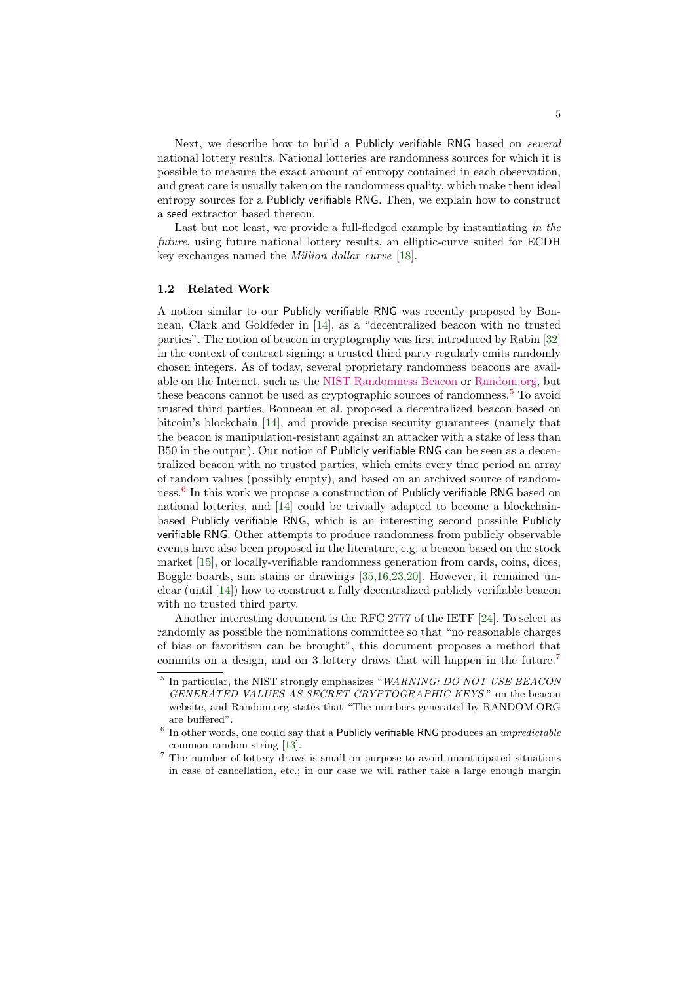Next, we describe how to build a Publicly verifiable RNG based on *several* national lottery results. National lotteries are randomness sources for which it is possible to measure the exact amount of entropy contained in each observation, and great care is usually taken on the randomness quality, which make them ideal entropy sources for a Publicly verifiable RNG. Then, we explain how to construct a seed extractor based thereon.

Last but not least, we provide a full-fledged example by instantiating in the future, using future national lottery results, an elliptic-curve suited for ECDH key exchanges named the Million dollar curve [\[18\]](#page-33-3).

#### 1.2 Related Work

A notion similar to our Publicly verifiable RNG was recently proposed by Bonneau, Clark and Goldfeder in [\[14\]](#page-32-5), as a "decentralized beacon with no trusted parties". The notion of beacon in cryptography was first introduced by Rabin [\[32\]](#page-33-4) in the context of contract signing: a trusted third party regularly emits randomly chosen integers. As of today, several proprietary randomness beacons are available on the Internet, such as the [NIST Randomness Beacon](http://www.nist.gov/itl/csd/ct/nist_beacon.cfm) or [Random.org,](https://www.random.org/) but these beacons cannot be used as cryptographic sources of randomness.<sup>[5](#page-4-0)</sup> To avoid trusted third parties, Bonneau et al. proposed a decentralized beacon based on bitcoin's blockchain [\[14\]](#page-32-5), and provide precise security guarantees (namely that the beacon is manipulation-resistant against an attacker with a stake of less than  $\ddot{B}50$  in the output). Our notion of Publicly verifiable RNG can be seen as a decentralized beacon with no trusted parties, which emits every time period an array of random values (possibly empty), and based on an archived source of random-ness.<sup>[6](#page-4-1)</sup> In this work we propose a construction of Publicly verifiable RNG based on national lotteries, and [\[14\]](#page-32-5) could be trivially adapted to become a blockchainbased Publicly verifiable RNG, which is an interesting second possible Publicly verifiable RNG. Other attempts to produce randomness from publicly observable events have also been proposed in the literature, e.g. a beacon based on the stock market [\[15\]](#page-32-6), or locally-verifiable randomness generation from cards, coins, dices, Boggle boards, sun stains or drawings [\[35,](#page-33-5)[16,](#page-32-7)[23,](#page-33-6)[20\]](#page-33-2). However, it remained unclear (until [\[14\]](#page-32-5)) how to construct a fully decentralized publicly verifiable beacon with no trusted third party.

Another interesting document is the RFC 2777 of the IETF [\[24\]](#page-33-7). To select as randomly as possible the nominations committee so that "no reasonable charges of bias or favoritism can be brought", this document proposes a method that commits on a design, and on 3 lottery draws that will happen in the future.<sup>[7](#page-4-2)</sup>

<span id="page-4-0"></span><sup>&</sup>lt;sup>5</sup> In particular, the NIST strongly emphasizes "WARNING: DO NOT USE BEACON GENERATED VALUES AS SECRET CRYPTOGRAPHIC KEYS." on the beacon website, and Random.org states that "The numbers generated by RANDOM.ORG are buffered".

<span id="page-4-1"></span> $6$  In other words, one could say that a Publicly verifiable RNG produces an *unpredictable* common random string [\[13\]](#page-32-8).

<span id="page-4-2"></span><sup>7</sup> The number of lottery draws is small on purpose to avoid unanticipated situations in case of cancellation, etc.; in our case we will rather take a large enough margin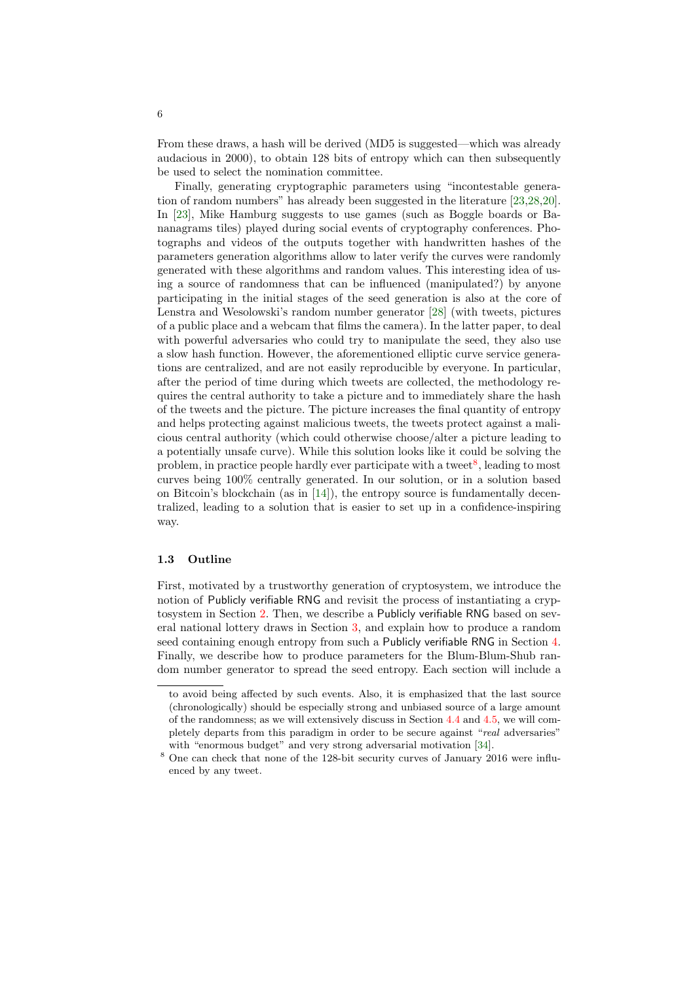From these draws, a hash will be derived (MD5 is suggested—which was already audacious in 2000), to obtain 128 bits of entropy which can then subsequently be used to select the nomination committee.

Finally, generating cryptographic parameters using "incontestable generation of random numbers" has already been suggested in the literature [\[23,](#page-33-6)[28,](#page-33-8)[20\]](#page-33-2). In [\[23\]](#page-33-6), Mike Hamburg suggests to use games (such as Boggle boards or Bananagrams tiles) played during social events of cryptography conferences. Photographs and videos of the outputs together with handwritten hashes of the parameters generation algorithms allow to later verify the curves were randomly generated with these algorithms and random values. This interesting idea of using a source of randomness that can be influenced (manipulated?) by anyone participating in the initial stages of the seed generation is also at the core of Lenstra and Wesolowski's random number generator [\[28\]](#page-33-8) (with tweets, pictures of a public place and a webcam that films the camera). In the latter paper, to deal with powerful adversaries who could try to manipulate the seed, they also use a slow hash function. However, the aforementioned elliptic curve service generations are centralized, and are not easily reproducible by everyone. In particular, after the period of time during which tweets are collected, the methodology requires the central authority to take a picture and to immediately share the hash of the tweets and the picture. The picture increases the final quantity of entropy and helps protecting against malicious tweets, the tweets protect against a malicious central authority (which could otherwise choose/alter a picture leading to a potentially unsafe curve). While this solution looks like it could be solving the problem, in practice people hardly ever participate with a tweet<sup>[8](#page-5-0)</sup>, leading to most curves being 100% centrally generated. In our solution, or in a solution based on Bitcoin's blockchain (as in [\[14\]](#page-32-5)), the entropy source is fundamentally decentralized, leading to a solution that is easier to set up in a confidence-inspiring way.

#### 1.3 Outline

First, motivated by a trustworthy generation of cryptosystem, we introduce the notion of Publicly verifiable RNG and revisit the process of instantiating a cryptosystem in Section [2.](#page-6-0) Then, we describe a Publicly verifiable RNG based on several national lottery draws in Section [3,](#page-12-0) and explain how to produce a random seed containing enough entropy from such a Publicly verifiable RNG in Section [4.](#page-16-0) Finally, we describe how to produce parameters for the Blum-Blum-Shub random number generator to spread the seed entropy. Each section will include a

to avoid being affected by such events. Also, it is emphasized that the last source (chronologically) should be especially strong and unbiased source of a large amount of the randomness; as we will extensively discuss in Section [4.4](#page-17-0) and [4.5,](#page-20-0) we will completely departs from this paradigm in order to be secure against "real adversaries" with "enormous budget" and very strong adversarial motivation [\[34\]](#page-33-9).

<span id="page-5-0"></span><sup>8</sup> One can check that none of the 128-bit security curves of January 2016 were influenced by any tweet.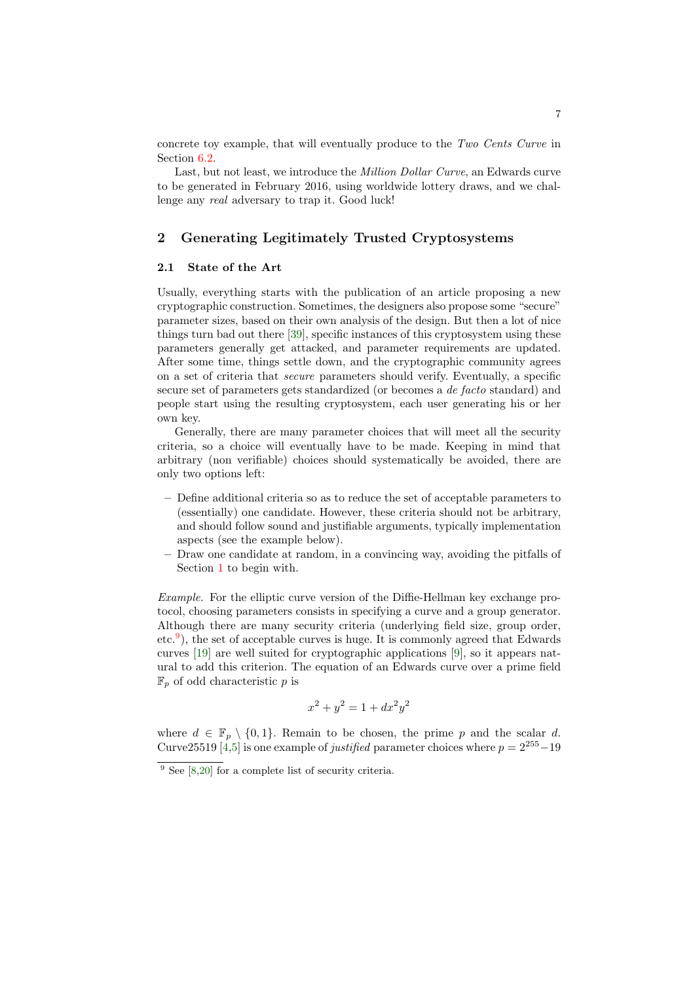concrete toy example, that will eventually produce to the Two Cents Curve in Section [6.2.](#page-28-0)

Last, but not least, we introduce the Million Dollar Curve, an Edwards curve to be generated in February 2016, using worldwide lottery draws, and we challenge any real adversary to trap it. Good luck!

# <span id="page-6-0"></span>2 Generating Legitimately Trusted Cryptosystems

### 2.1 State of the Art

Usually, everything starts with the publication of an article proposing a new cryptographic construction. Sometimes, the designers also propose some "secure" parameter sizes, based on their own analysis of the design. But then a lot of nice things turn bad out there [\[39\]](#page-34-6), specific instances of this cryptosystem using these parameters generally get attacked, and parameter requirements are updated. After some time, things settle down, and the cryptographic community agrees on a set of criteria that secure parameters should verify. Eventually, a specific secure set of parameters gets standardized (or becomes a de facto standard) and people start using the resulting cryptosystem, each user generating his or her own key.

Generally, there are many parameter choices that will meet all the security criteria, so a choice will eventually have to be made. Keeping in mind that arbitrary (non verifiable) choices should systematically be avoided, there are only two options left:

- Define additional criteria so as to reduce the set of acceptable parameters to (essentially) one candidate. However, these criteria should not be arbitrary, and should follow sound and justifiable arguments, typically implementation aspects (see the example below).
- Draw one candidate at random, in a convincing way, avoiding the pitfalls of Section [1](#page-1-0) to begin with.

Example. For the elliptic curve version of the Diffie-Hellman key exchange protocol, choosing parameters consists in specifying a curve and a group generator. Although there are many security criteria (underlying field size, group order, etc.[9](#page-6-1) ), the set of acceptable curves is huge. It is commonly agreed that Edwards curves [\[19\]](#page-33-10) are well suited for cryptographic applications [\[9\]](#page-32-9), so it appears natural to add this criterion. The equation of an Edwards curve over a prime field  $\mathbb{F}_p$  of odd characteristic p is

$$
x^2 + y^2 = 1 + dx^2 y^2
$$

where  $d \in \mathbb{F}_p \setminus \{0,1\}$ . Remain to be chosen, the prime p and the scalar d. Curve25519 [\[4,](#page-32-10)[5\]](#page-32-11) is one example of *justified* parameter choices where  $p = 2^{255} - 19$ 

<span id="page-6-1"></span> $9$  See [\[8](#page-32-12)[,20\]](#page-33-2) for a complete list of security criteria.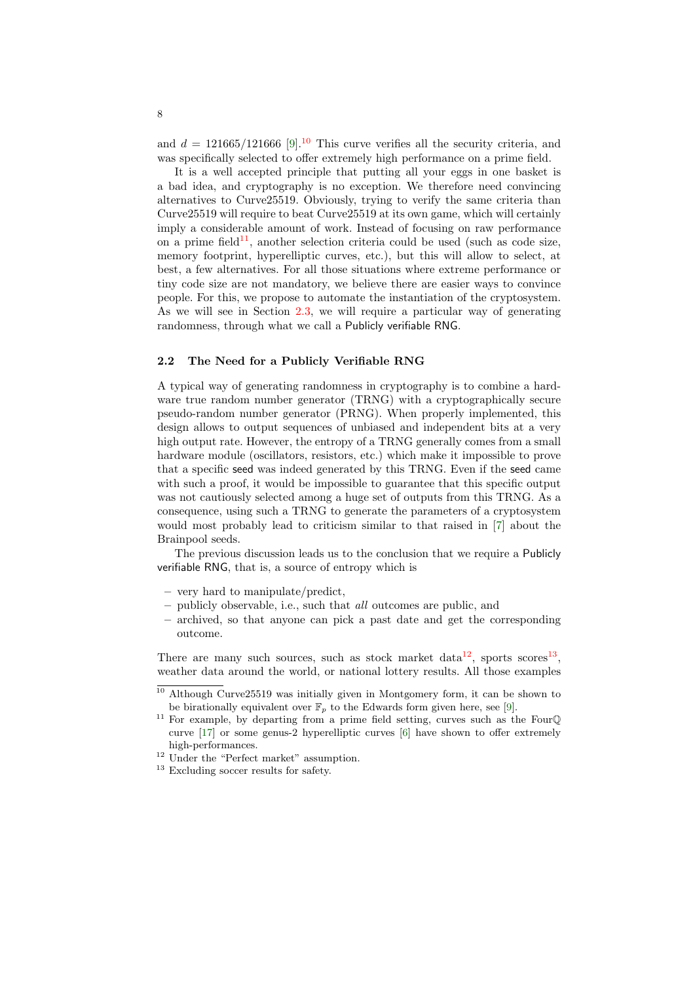and  $d = 121665/121666$  [\[9\]](#page-32-9).<sup>[10](#page-7-0)</sup> This curve verifies all the security criteria, and was specifically selected to offer extremely high performance on a prime field.

It is a well accepted principle that putting all your eggs in one basket is a bad idea, and cryptography is no exception. We therefore need convincing alternatives to Curve25519. Obviously, trying to verify the same criteria than Curve25519 will require to beat Curve25519 at its own game, which will certainly imply a considerable amount of work. Instead of focusing on raw performance on a prime field<sup>[11](#page-7-1)</sup>, another selection criteria could be used (such as code size, memory footprint, hyperelliptic curves, etc.), but this will allow to select, at best, a few alternatives. For all those situations where extreme performance or tiny code size are not mandatory, we believe there are easier ways to convince people. For this, we propose to automate the instantiation of the cryptosystem. As we will see in Section [2.3,](#page-8-0) we will require a particular way of generating randomness, through what we call a Publicly verifiable RNG.

#### 2.2 The Need for a Publicly Verifiable RNG

A typical way of generating randomness in cryptography is to combine a hardware true random number generator (TRNG) with a cryptographically secure pseudo-random number generator (PRNG). When properly implemented, this design allows to output sequences of unbiased and independent bits at a very high output rate. However, the entropy of a TRNG generally comes from a small hardware module (oscillators, resistors, etc.) which make it impossible to prove that a specific seed was indeed generated by this TRNG. Even if the seed came with such a proof, it would be impossible to guarantee that this specific output was not cautiously selected among a huge set of outputs from this TRNG. As a consequence, using such a TRNG to generate the parameters of a cryptosystem would most probably lead to criticism similar to that raised in [\[7\]](#page-32-1) about the Brainpool seeds.

The previous discussion leads us to the conclusion that we require a Publicly verifiable RNG, that is, a source of entropy which is

- very hard to manipulate/predict,
- publicly observable, i.e., such that all outcomes are public, and
- archived, so that anyone can pick a past date and get the corresponding outcome.

There are many such sources, such as stock market data<sup>[12](#page-7-2)</sup>, sports scores<sup>[13](#page-7-3)</sup>, weather data around the world, or national lottery results. All those examples

<span id="page-7-0"></span><sup>10</sup> Although Curve25519 was initially given in Montgomery form, it can be shown to be birationally equivalent over  $\mathbb{F}_p$  to the Edwards form given here, see [\[9\]](#page-32-9).

<span id="page-7-1"></span><sup>&</sup>lt;sup>11</sup> For example, by departing from a prime field setting, curves such as the FourQ curve [\[17\]](#page-33-11) or some genus-2 hyperelliptic curves [\[6\]](#page-32-13) have shown to offer extremely high-performances.

<span id="page-7-2"></span><sup>&</sup>lt;sup>12</sup> Under the "Perfect market" assumption.

<span id="page-7-3"></span> $^{13}$  Excluding soccer results for safety.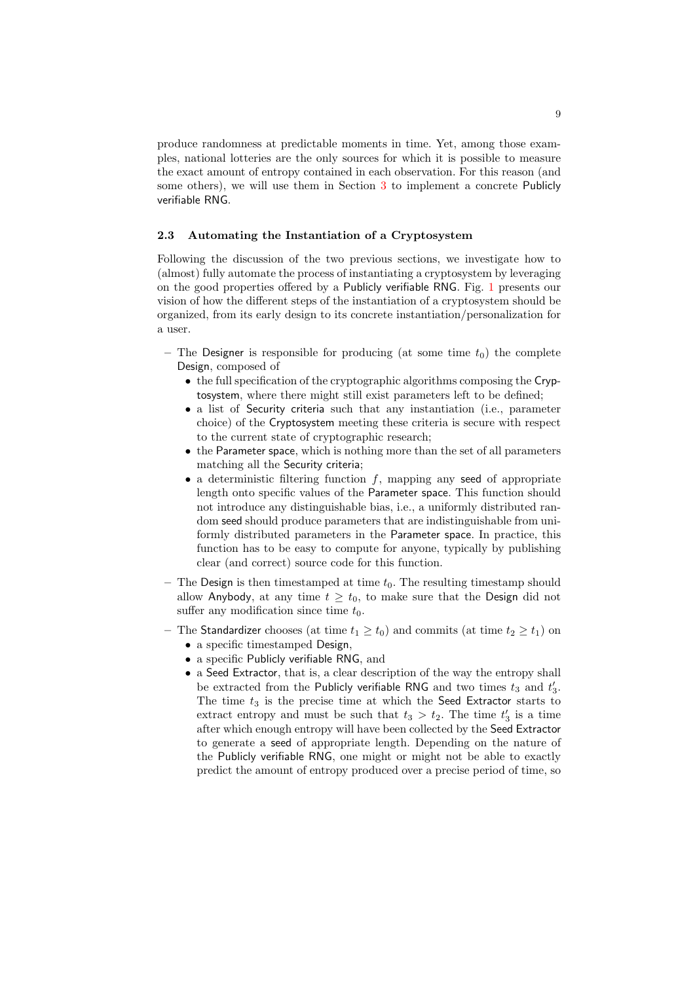produce randomness at predictable moments in time. Yet, among those examples, national lotteries are the only sources for which it is possible to measure the exact amount of entropy contained in each observation. For this reason (and some others), we will use them in Section [3](#page-12-0) to implement a concrete Publicly verifiable RNG.

#### <span id="page-8-0"></span>2.3 Automating the Instantiation of a Cryptosystem

Following the discussion of the two previous sections, we investigate how to (almost) fully automate the process of instantiating a cryptosystem by leveraging on the good properties offered by a Publicly verifiable RNG. Fig. [1](#page-9-0) presents our vision of how the different steps of the instantiation of a cryptosystem should be organized, from its early design to its concrete instantiation/personalization for a user.

- The Designer is responsible for producing (at some time  $t_0$ ) the complete Design, composed of
	- the full specification of the cryptographic algorithms composing the Cryptosystem, where there might still exist parameters left to be defined;
	- a list of Security criteria such that any instantiation (i.e., parameter choice) of the Cryptosystem meeting these criteria is secure with respect to the current state of cryptographic research;
	- the Parameter space, which is nothing more than the set of all parameters matching all the Security criteria;
	- a deterministic filtering function  $f$ , mapping any seed of appropriate length onto specific values of the Parameter space. This function should not introduce any distinguishable bias, i.e., a uniformly distributed random seed should produce parameters that are indistinguishable from uniformly distributed parameters in the Parameter space. In practice, this function has to be easy to compute for anyone, typically by publishing clear (and correct) source code for this function.
- The Design is then timestamped at time  $t_0$ . The resulting timestamp should allow Anybody, at any time  $t \geq t_0$ , to make sure that the Design did not suffer any modification since time  $t_0$ .
- The Standardizer chooses (at time  $t_1 \geq t_0$ ) and commits (at time  $t_2 \geq t_1$ ) on
	- a specific timestamped Design,
	- a specific Publicly verifiable RNG, and
	- a Seed Extractor, that is, a clear description of the way the entropy shall be extracted from the Publicly verifiable RNG and two times  $t_3$  and  $t'_3$ . The time  $t_3$  is the precise time at which the Seed Extractor starts to extract entropy and must be such that  $t_3 > t_2$ . The time  $t'_3$  is a time after which enough entropy will have been collected by the Seed Extractor to generate a seed of appropriate length. Depending on the nature of the Publicly verifiable RNG, one might or might not be able to exactly predict the amount of entropy produced over a precise period of time, so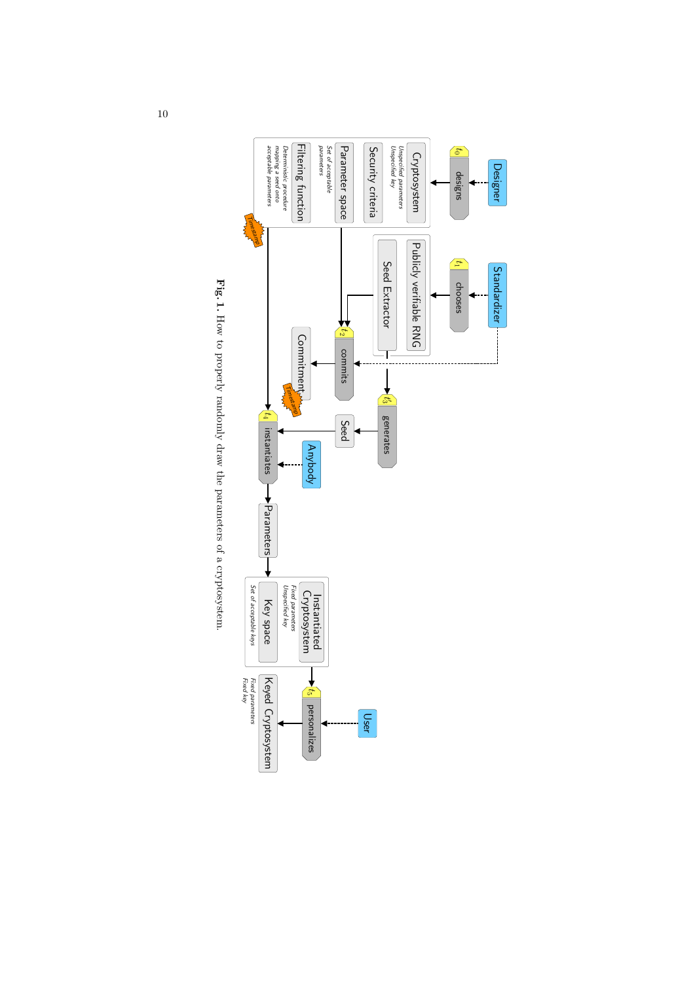

<span id="page-9-0"></span>Fig. 1. How to properly randomly draw the parameters of a cryptosystem. How to properly randomly draw the parameters of a cryptosystem.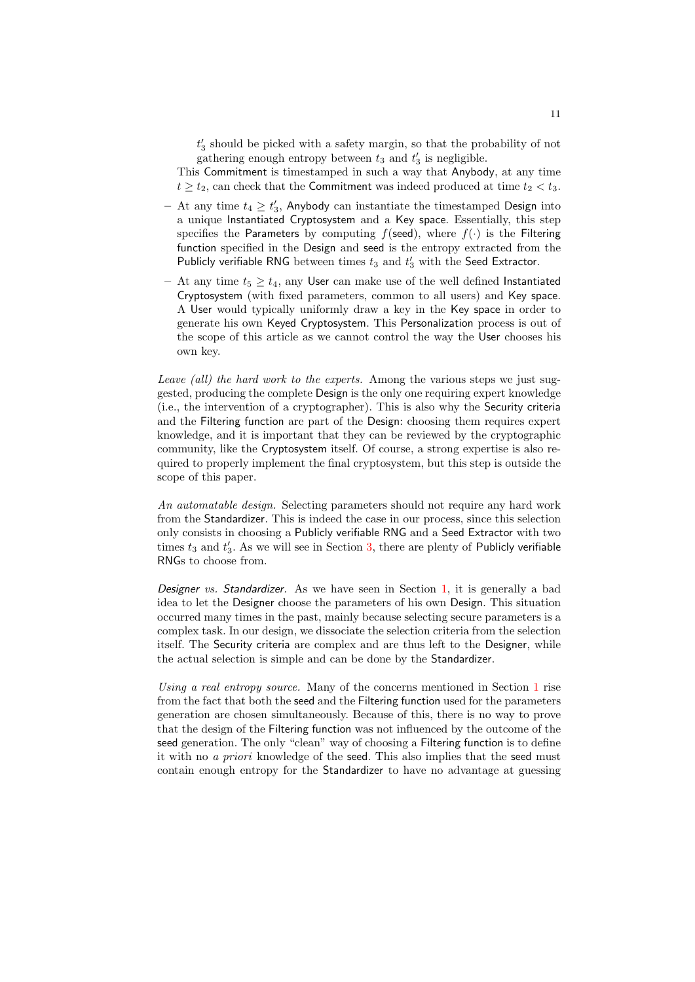$t_{3}^{\prime}$  should be picked with a safety margin, so that the probability of not gathering enough entropy between  $t_3$  and  $t'_3$  is negligible.

This Commitment is timestamped in such a way that Anybody, at any time  $t \ge t_2$ , can check that the Commitment was indeed produced at time  $t_2 < t_3$ .

- At any time  $t_4 \geq t'_3$ , Anybody can instantiate the timestamped Design into a unique Instantiated Cryptosystem and a Key space. Essentially, this step specifies the Parameters by computing  $f$ (seed), where  $f(\cdot)$  is the Filtering function specified in the Design and seed is the entropy extracted from the Publicly verifiable RNG between times  $t_3$  and  $t_3'$  with the Seed Extractor.
- At any time  $t_5 \geq t_4$ , any User can make use of the well defined Instantiated Cryptosystem (with fixed parameters, common to all users) and Key space. A User would typically uniformly draw a key in the Key space in order to generate his own Keyed Cryptosystem. This Personalization process is out of the scope of this article as we cannot control the way the User chooses his own key.

Leave (all) the hard work to the experts. Among the various steps we just suggested, producing the complete Design is the only one requiring expert knowledge (i.e., the intervention of a cryptographer). This is also why the Security criteria and the Filtering function are part of the Design: choosing them requires expert knowledge, and it is important that they can be reviewed by the cryptographic community, like the Cryptosystem itself. Of course, a strong expertise is also required to properly implement the final cryptosystem, but this step is outside the scope of this paper.

An automatable design. Selecting parameters should not require any hard work from the Standardizer. This is indeed the case in our process, since this selection only consists in choosing a Publicly verifiable RNG and a Seed Extractor with two times  $t_3$  and  $t'_3$ . As we will see in Section [3,](#page-12-0) there are plenty of Publicly verifiable RNGs to choose from.

Designer vs. Standardizer. As we have seen in Section [1,](#page-1-0) it is generally a bad idea to let the Designer choose the parameters of his own Design. This situation occurred many times in the past, mainly because selecting secure parameters is a complex task. In our design, we dissociate the selection criteria from the selection itself. The Security criteria are complex and are thus left to the Designer, while the actual selection is simple and can be done by the Standardizer.

Using a real entropy source. Many of the concerns mentioned in Section [1](#page-1-0) rise from the fact that both the seed and the Filtering function used for the parameters generation are chosen simultaneously. Because of this, there is no way to prove that the design of the Filtering function was not influenced by the outcome of the seed generation. The only "clean" way of choosing a Filtering function is to define it with no a priori knowledge of the seed. This also implies that the seed must contain enough entropy for the Standardizer to have no advantage at guessing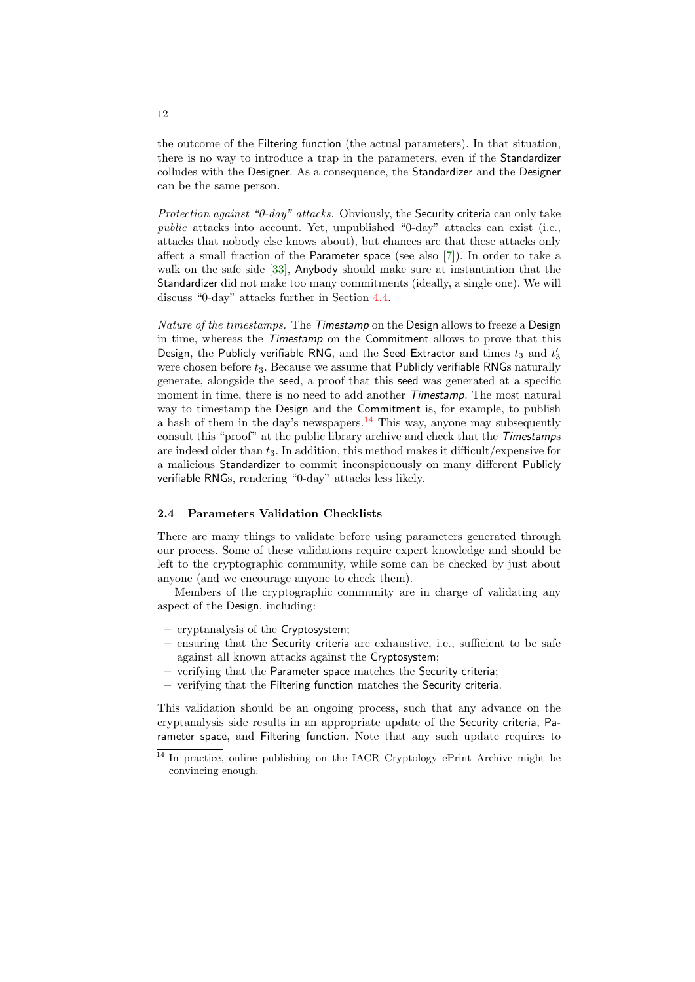the outcome of the Filtering function (the actual parameters). In that situation, there is no way to introduce a trap in the parameters, even if the Standardizer colludes with the Designer. As a consequence, the Standardizer and the Designer can be the same person.

Protection against "0-day" attacks. Obviously, the Security criteria can only take public attacks into account. Yet, unpublished "0-day" attacks can exist (i.e., attacks that nobody else knows about), but chances are that these attacks only affect a small fraction of the Parameter space (see also [\[7\]](#page-32-1)). In order to take a walk on the safe side [\[33\]](#page-33-12), Anybody should make sure at instantiation that the Standardizer did not make too many commitments (ideally, a single one). We will discuss "0-day" attacks further in Section [4.4.](#page-17-0)

Nature of the timestamps. The Timestamp on the Design allows to freeze a Design in time, whereas the Timestamp on the Commitment allows to prove that this Design, the Publicly verifiable RNG, and the Seed Extractor and times  $t_3$  and  $t_3^\prime$ were chosen before  $t_3$ . Because we assume that Publicly verifiable RNGs naturally generate, alongside the seed, a proof that this seed was generated at a specific moment in time, there is no need to add another *Timestamp*. The most natural way to timestamp the Design and the Commitment is, for example, to publish a hash of them in the day's newspapers.<sup>[14](#page-11-0)</sup> This way, anyone may subsequently consult this "proof" at the public library archive and check that the Timestamps are indeed older than  $t_3$ . In addition, this method makes it difficult/expensive for a malicious Standardizer to commit inconspicuously on many different Publicly verifiable RNGs, rendering "0-day" attacks less likely.

#### 2.4 Parameters Validation Checklists

There are many things to validate before using parameters generated through our process. Some of these validations require expert knowledge and should be left to the cryptographic community, while some can be checked by just about anyone (and we encourage anyone to check them).

Members of the cryptographic community are in charge of validating any aspect of the Design, including:

- cryptanalysis of the Cryptosystem;
- ensuring that the Security criteria are exhaustive, i.e., sufficient to be safe against all known attacks against the Cryptosystem;
- verifying that the Parameter space matches the Security criteria;
- verifying that the Filtering function matches the Security criteria.

This validation should be an ongoing process, such that any advance on the cryptanalysis side results in an appropriate update of the Security criteria, Parameter space, and Filtering function. Note that any such update requires to

<span id="page-11-0"></span><sup>&</sup>lt;sup>14</sup> In practice, online publishing on the IACR Cryptology ePrint Archive might be convincing enough.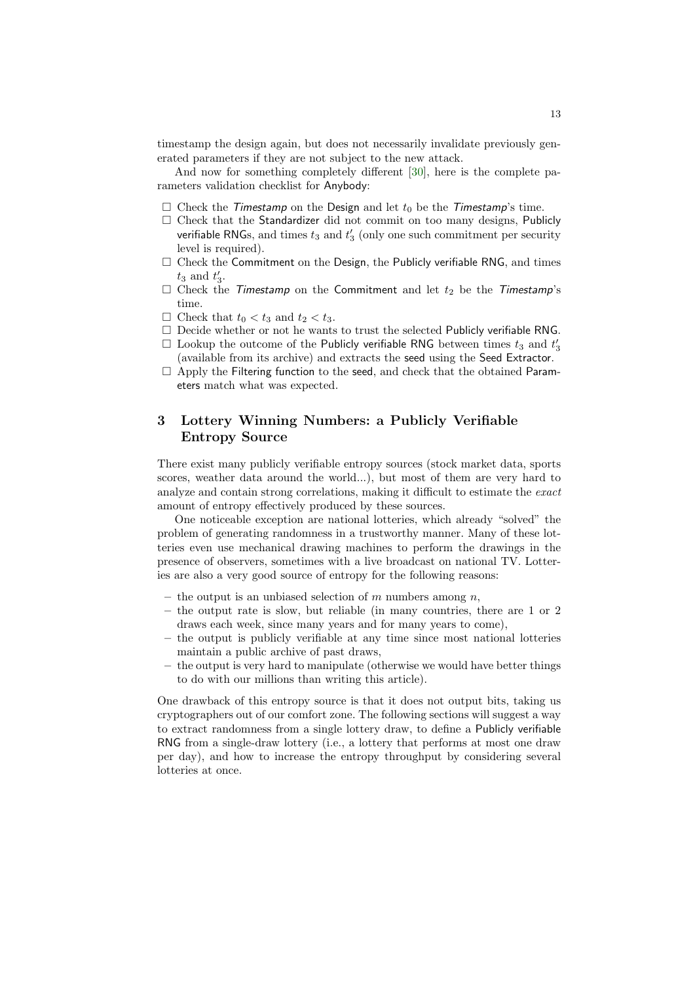timestamp the design again, but does not necessarily invalidate previously generated parameters if they are not subject to the new attack.

And now for something completely different [\[30\]](#page-33-13), here is the complete parameters validation checklist for Anybody:

- $\square$  Check the *Timestamp* on the Design and let  $t_0$  be the *Timestamp*'s time.
- $\square$  Check that the Standardizer did not commit on too many designs, Publicly verifiable RNGs, and times  $t_3$  and  $t_3'$  (only one such commitment per security level is required).
- $\square$  Check the Commitment on the Design, the Publicly verifiable RNG, and times  $t_3$  and  $t'_3$ .
- $\square$  Check the *Timestamp* on the Commitment and let  $t_2$  be the *Timestamp*'s time.
- $\Box$  Check that  $t_0 < t_3$  and  $t_2 < t_3$ .
- $\square$  Decide whether or not he wants to trust the selected Publicly verifiable RNG.
- $\Box$  Lookup the outcome of the Publicly verifiable RNG between times  $t_3$  and  $t'_3$ (available from its archive) and extracts the seed using the Seed Extractor.
- $\Box$  Apply the Filtering function to the seed, and check that the obtained Parameters match what was expected.

# <span id="page-12-0"></span>3 Lottery Winning Numbers: a Publicly Verifiable Entropy Source

There exist many publicly verifiable entropy sources (stock market data, sports scores, weather data around the world...), but most of them are very hard to analyze and contain strong correlations, making it difficult to estimate the exact amount of entropy effectively produced by these sources.

One noticeable exception are national lotteries, which already "solved" the problem of generating randomness in a trustworthy manner. Many of these lotteries even use mechanical drawing machines to perform the drawings in the presence of observers, sometimes with a live broadcast on national TV. Lotteries are also a very good source of entropy for the following reasons:

- the output is an unbiased selection of  $m$  numbers among  $n$ ,
- the output rate is slow, but reliable (in many countries, there are 1 or 2 draws each week, since many years and for many years to come),
- the output is publicly verifiable at any time since most national lotteries maintain a public archive of past draws,
- the output is very hard to manipulate (otherwise we would have better things to do with our millions than writing this article).

One drawback of this entropy source is that it does not output bits, taking us cryptographers out of our comfort zone. The following sections will suggest a way to extract randomness from a single lottery draw, to define a Publicly verifiable RNG from a single-draw lottery (i.e., a lottery that performs at most one draw per day), and how to increase the entropy throughput by considering several lotteries at once.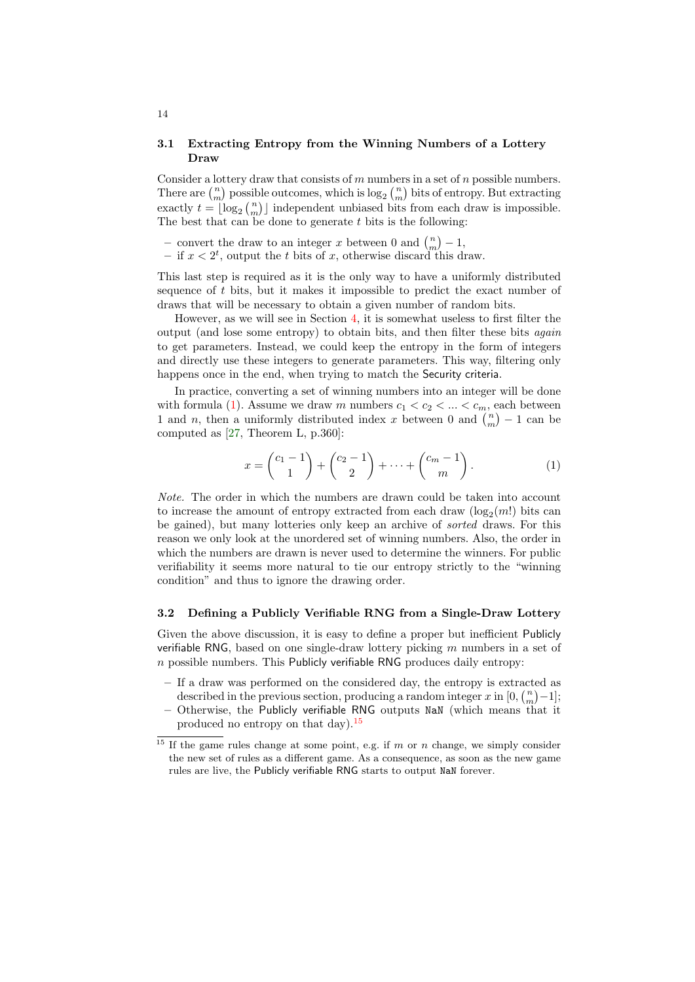### 3.1 Extracting Entropy from the Winning Numbers of a Lottery Draw

Consider a lottery draw that consists of  $m$  numbers in a set of  $n$  possible numbers. There are  $\binom{n}{m}$  possible outcomes, which is  $\log_2\binom{n}{m}$  bits of entropy. But extracting exactly  $t = \lfloor \log_2 {n \choose m} \rfloor$  independent unbiased bits from each draw is impossible. The best that can be done to generate  $t$  bits is the following:

- convert the draw to an integer x between 0 and  $\binom{n}{m} 1$ ,
- if  $x < 2^t$ , output the t bits of x, otherwise discard this draw.

This last step is required as it is the only way to have a uniformly distributed sequence of  $t$  bits, but it makes it impossible to predict the exact number of draws that will be necessary to obtain a given number of random bits.

However, as we will see in Section [4,](#page-16-0) it is somewhat useless to first filter the output (and lose some entropy) to obtain bits, and then filter these bits again to get parameters. Instead, we could keep the entropy in the form of integers and directly use these integers to generate parameters. This way, filtering only happens once in the end, when trying to match the Security criteria.

In practice, converting a set of winning numbers into an integer will be done with formula [\(1\)](#page-13-0). Assume we draw m numbers  $c_1 < c_2 < \ldots < c_m$ , each between 1 and n, then a uniformly distributed index x between 0 and  $\binom{n}{m} - 1$  can be computed as [\[27,](#page-33-14) Theorem L, p.360]:

<span id="page-13-0"></span>
$$
x = \binom{c_1 - 1}{1} + \binom{c_2 - 1}{2} + \dots + \binom{c_m - 1}{m}.
$$
 (1)

Note. The order in which the numbers are drawn could be taken into account to increase the amount of entropy extracted from each draw  $(\log_2(m!)$  bits can be gained), but many lotteries only keep an archive of sorted draws. For this reason we only look at the unordered set of winning numbers. Also, the order in which the numbers are drawn is never used to determine the winners. For public verifiability it seems more natural to tie our entropy strictly to the "winning condition" and thus to ignore the drawing order.

#### 3.2 Defining a Publicly Verifiable RNG from a Single-Draw Lottery

Given the above discussion, it is easy to define a proper but inefficient Publicly verifiable RNG, based on one single-draw lottery picking  $m$  numbers in a set of  $n$  possible numbers. This Publicly verifiable RNG produces daily entropy:

- If a draw was performed on the considered day, the entropy is extracted as described in the previous section, producing a random integer x in  $[0, \binom{n}{m} - 1]$ ;
- $-$  Otherwise, the Publicly verifiable RNG outputs NaN (which means that it produced no entropy on that day).[15](#page-13-1)

<span id="page-13-1"></span> $15$  If the game rules change at some point, e.g. if m or n change, we simply consider the new set of rules as a different game. As a consequence, as soon as the new game rules are live, the Publicly verifiable RNG starts to output NaN forever.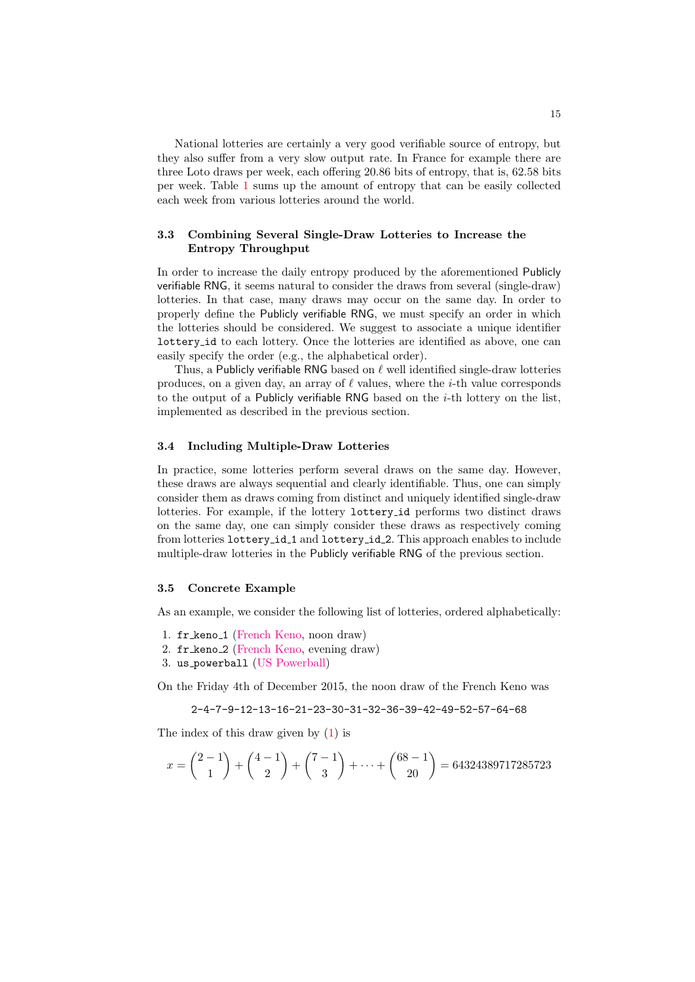National lotteries are certainly a very good verifiable source of entropy, but they also suffer from a very slow output rate. In France for example there are three Loto draws per week, each offering 20.86 bits of entropy, that is, 62.58 bits per week. Table [1](#page-15-0) sums up the amount of entropy that can be easily collected each week from various lotteries around the world.

# 3.3 Combining Several Single-Draw Lotteries to Increase the Entropy Throughput

In order to increase the daily entropy produced by the aforementioned Publicly verifiable RNG, it seems natural to consider the draws from several (single-draw) lotteries. In that case, many draws may occur on the same day. In order to properly define the Publicly verifiable RNG, we must specify an order in which the lotteries should be considered. We suggest to associate a unique identifier lottery id to each lottery. Once the lotteries are identified as above, one can easily specify the order (e.g., the alphabetical order).

Thus, a Publicly verifiable RNG based on  $\ell$  well identified single-draw lotteries produces, on a given day, an array of  $\ell$  values, where the *i*-th value corresponds to the output of a Publicly verifiable RNG based on the  $i$ -th lottery on the list, implemented as described in the previous section.

#### 3.4 Including Multiple-Draw Lotteries

In practice, some lotteries perform several draws on the same day. However, these draws are always sequential and clearly identifiable. Thus, one can simply consider them as draws coming from distinct and uniquely identified single-draw lotteries. For example, if the lottery lottery id performs two distinct draws on the same day, one can simply consider these draws as respectively coming from lotteries lottery id 1 and lottery id 2. This approach enables to include multiple-draw lotteries in the Publicly verifiable RNG of the previous section.

#### <span id="page-14-0"></span>3.5 Concrete Example

As an example, we consider the following list of lotteries, ordered alphabetically:

- 1. fr keno 1 [\(French Keno,](https://www.fdj.fr/jeux/jeux-de-tirage/keno/statistiques) noon draw)
- 2. fr keno 2 [\(French Keno,](https://www.fdj.fr/jeux/jeux-de-tirage/keno/statistiques) evening draw)
- 3. us powerball [\(US Powerball\)](http://www.powerball.com/powerball/pb_nbr_history.asp)

On the Friday 4th of December 2015, the noon draw of the French Keno was

2-4-7-9-12-13-16-21-23-30-31-32-36-39-42-49-52-57-64-68

The index of this draw given by [\(1\)](#page-13-0) is

$$
x = \binom{2-1}{1} + \binom{4-1}{2} + \binom{7-1}{3} + \dots + \binom{68-1}{20} = 64324389717285723
$$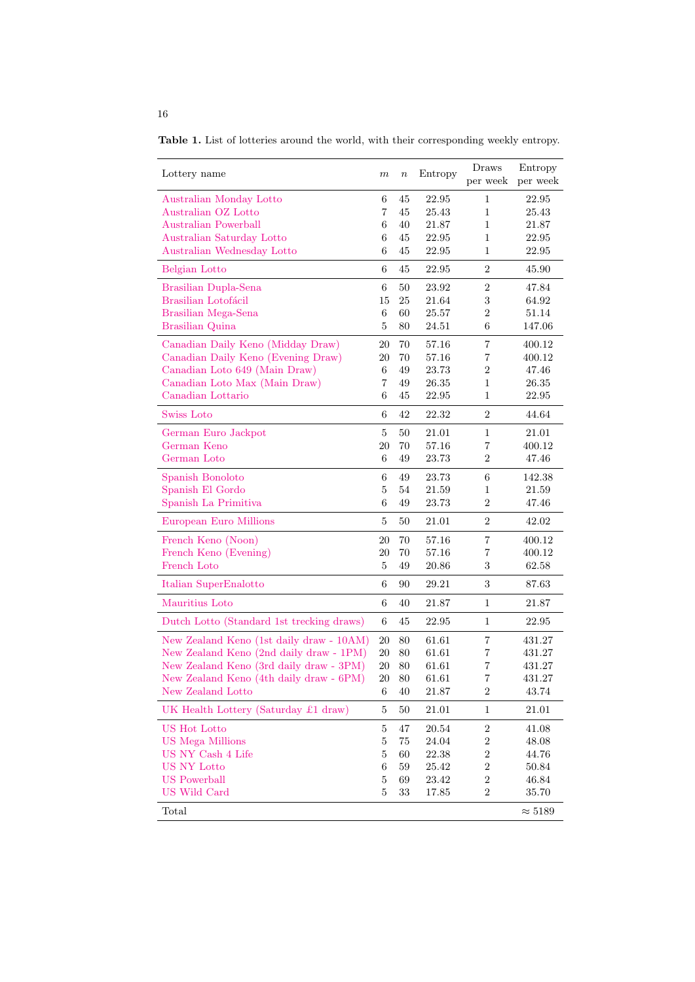<span id="page-15-0"></span>Table 1. List of lotteries around the world, with their corresponding weekly entropy.

| Lottery name                              | m               | $\boldsymbol{n}$ | Entropy   | Draws<br>per week | Entropy<br>per week |
|-------------------------------------------|-----------------|------------------|-----------|-------------------|---------------------|
| Australian Monday Lotto                   | 6               | 45               | 22.95     | 1                 | 22.95               |
| Australian OZ Lotto                       | 7               | 45               | 25.43     | 1                 | $25.43\,$           |
| <b>Australian Powerball</b>               | 6               | 40               | 21.87     | 1                 | 21.87               |
| Australian Saturday Lotto                 | 6               | 45               | 22.95     | 1                 | 22.95               |
| Australian Wednesday Lotto                | 6               | 45               | 22.95     | 1                 | 22.95               |
| Belgian Lotto                             | 6               | 45               | 22.95     | $\overline{2}$    | 45.90               |
| Brasilian Dupla-Sena                      | $\,$ 6 $\,$     | 50               | 23.92     | $\sqrt{2}$        | 47.84               |
| Brasilian Lotofácil                       | 15              | 25               | $21.64\,$ | $\sqrt{3}$        | 64.92               |
| Brasilian Mega-Sena                       | 6               | 60               | 25.57     | $\overline{2}$    | 51.14               |
| Brasilian Quina                           | 5               | 80               | 24.51     | 6                 | 147.06              |
| Canadian Daily Keno (Midday Draw)         | 20              | 70               | 57.16     | $\overline{7}$    | 400.12              |
| Canadian Daily Keno (Evening Draw)        | 20              | 70               | 57.16     | 7                 | 400.12              |
| Canadian Loto 649 (Main Draw)             | 6               | 49               | 23.73     | $\overline{2}$    | 47.46               |
| Canadian Loto Max (Main Draw)             | 7               | 49               | 26.35     | 1                 | $26.35\,$           |
| Canadian Lottario                         | 6               | 45               | 22.95     | 1                 | 22.95               |
| Swiss Loto                                | 6               | 42               | 22.32     | $\overline{2}$    | 44.64               |
| German Euro Jackpot                       | 5               | 50               | 21.01     | $\mathbf{1}$      | $21.01\,$           |
| German Keno                               | 20              | 70               | 57.16     | 7                 | 400.12              |
| German Loto                               | 6               | 49               | 23.73     | 2                 | 47.46               |
| Spanish Bonoloto                          | $\,6$           | 49               | 23.73     | 6                 | 142.38              |
| Spanish El Gordo                          | 5               | 54               | 21.59     | 1                 | 21.59               |
| Spanish La Primitiva                      | 6               | 49               | 23.73     | $\overline{2}$    | 47.46               |
| European Euro Millions                    | $\overline{5}$  | 50               | 21.01     | $\overline{2}$    | 42.02               |
| French Keno (Noon)                        | 20              | 70               | 57.16     | 7                 | 400.12              |
| French Keno (Evening)                     | 20              | 70               | 57.16     | 7                 | 400.12              |
| French Loto                               | 5               | 49               | 20.86     | 3                 | 62.58               |
| Italian SuperEnalotto                     | 6               | 90               | 29.21     | 3                 | 87.63               |
| Mauritius Loto                            | 6               | 40               | 21.87     | $\mathbf{1}$      | 21.87               |
| Dutch Lotto (Standard 1st trecking draws) | $6\phantom{.}6$ | 45               | 22.95     | $\mathbf{1}$      | 22.95               |
| New Zealand Keno (1st daily draw - 10AM)  | $20\,$          | 80               | 61.61     | $\overline{7}$    | 431.27              |
| New Zealand Keno (2nd daily draw - 1PM)   | 20              | 80               | 61.61     | 7                 | 431.27              |
| New Zealand Keno (3rd daily draw - 3PM)   | 20              | 80               | 61.61     | 7                 | 431.27              |
| New Zealand Keno (4th daily draw - 6PM)   | $20\,$          | $80\,$           | 61.61     | 7                 | 431.27              |
| New Zealand Lotto                         | 6               | 40               | 21.87     | 2                 | 43.74               |
| UK Health Lottery (Saturday £1 draw)      | $\overline{5}$  | $50\,$           | 21.01     | 1                 | 21.01               |
| US Hot Lotto                              | $\overline{5}$  | 47               | 20.54     | $\,2$             | 41.08               |
| <b>US</b> Mega Millions                   | $\overline{5}$  | 75               | 24.04     | $\boldsymbol{2}$  | 48.08               |
| US NY Cash 4 Life                         | 5               | 60               | 22.38     | $\boldsymbol{2}$  | 44.76               |
| US NY Lotto                               | 6               | 59               | 25.42     | $\boldsymbol{2}$  | 50.84               |
| <b>US</b> Powerball                       | $\overline{5}$  | 69               | 23.42     | $\overline{2}$    | 46.84               |
| US Wild Card                              | $\overline{5}$  | 33               | 17.85     | $\boldsymbol{2}$  | 35.70               |
| Total                                     |                 |                  |           |                   | $\approx 5189$      |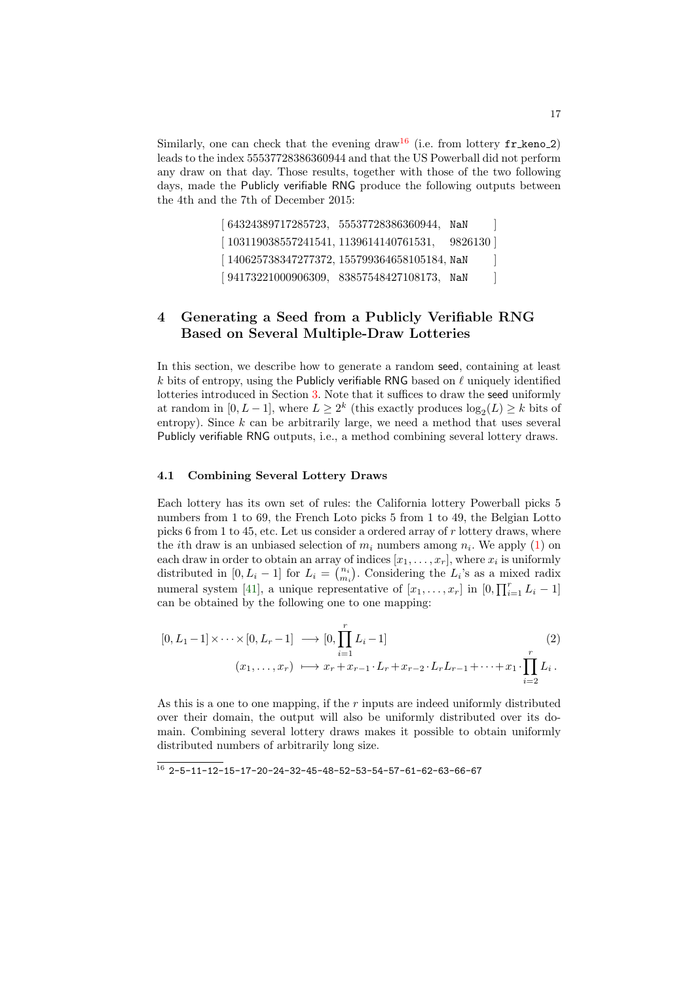Similarly, one can check that the evening draw<sup>[16](#page-16-1)</sup> (i.e. from lottery  $\text{fr\_keno\_2}$ ) leads to the index 55537728386360944 and that the US Powerball did not perform any draw on that day. Those results, together with those of the two following days, made the Publicly verifiable RNG produce the following outputs between the 4th and the 7th of December 2015:

> [ 64324389717285723, 55537728386360944, NaN [ 103119038557241541, 1139614140761531, 9826130 ]  $[140625738347277372, 155799364658105184,$  NaN  $]$  $[94173221000906309, 83857548427108173, NaN ]$

# <span id="page-16-0"></span>4 Generating a Seed from a Publicly Verifiable RNG Based on Several Multiple-Draw Lotteries

In this section, we describe how to generate a random seed, containing at least  $k$  bits of entropy, using the Publicly verifiable RNG based on  $\ell$  uniquely identified lotteries introduced in Section [3.](#page-12-0) Note that it suffices to draw the seed uniformly at random in  $[0, L-1]$ , where  $L \geq 2^k$  (this exactly produces  $\log_2(L) \geq k$  bits of entropy). Since  $k$  can be arbitrarily large, we need a method that uses several Publicly verifiable RNG outputs, i.e., a method combining several lottery draws.

### 4.1 Combining Several Lottery Draws

Each lottery has its own set of rules: the California lottery Powerball picks 5 numbers from 1 to 69, the French Loto picks 5 from 1 to 49, the Belgian Lotto picks 6 from 1 to 45, etc. Let us consider a ordered array of  $r$  lottery draws, where the *i*th draw is an unbiased selection of  $m_i$  numbers among  $n_i$ . We apply [\(1\)](#page-13-0) on each draw in order to obtain an array of indices  $[x_1, \ldots, x_r]$ , where  $x_i$  is uniformly distributed in [0,  $L_i - 1$ ] for  $L_i = \binom{n_i}{m_i}$ . Considering the  $L_i$ 's as a mixed radix numeral system [\[41\]](#page-34-7), a unique representative of  $[x_1, \ldots, x_r]$  in  $[0, \prod_{i=1}^r L_i - 1]$ can be obtained by the following one to one mapping:

<span id="page-16-2"></span>
$$
[0, L_1 - 1] \times \cdots \times [0, L_r - 1] \longrightarrow [0, \prod_{i=1}^r L_i - 1]
$$
  

$$
(x_1, \ldots, x_r) \longmapsto x_r + x_{r-1} \cdot L_r + x_{r-2} \cdot L_r L_{r-1} + \cdots + x_1 \cdot \prod_{i=2}^r L_i.
$$
  
(2)

As this is a one to one mapping, if the  $r$  inputs are indeed uniformly distributed over their domain, the output will also be uniformly distributed over its domain. Combining several lottery draws makes it possible to obtain uniformly distributed numbers of arbitrarily long size.

<span id="page-16-1"></span> $16$  2-5-11-12-15-17-20-24-32-45-48-52-53-54-57-61-62-63-66-67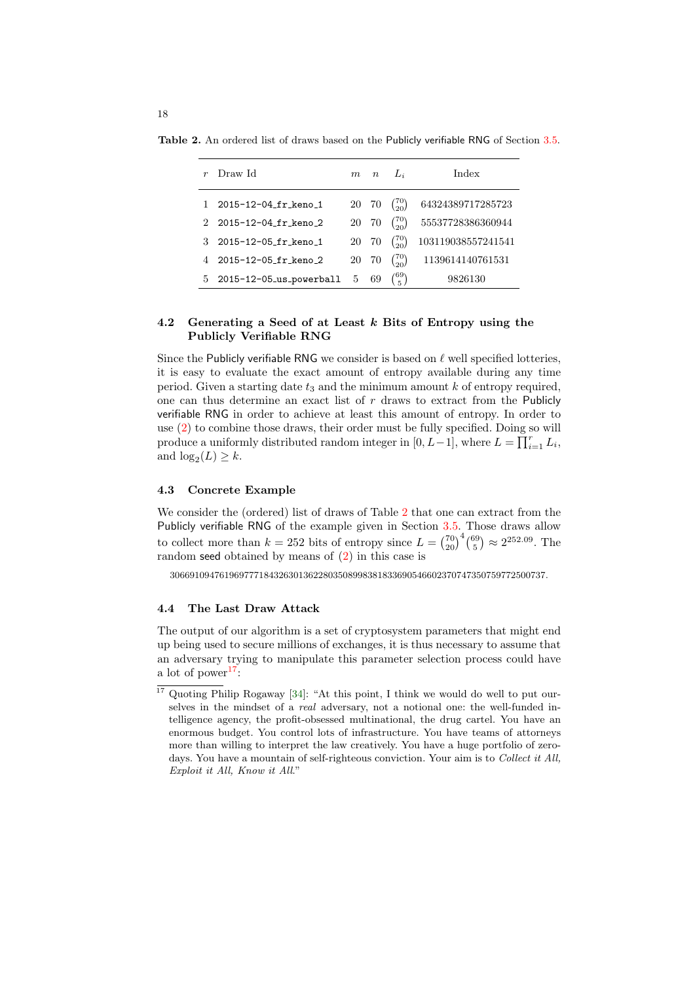Table 2. An ordered list of draws based on the Publicly verifiable RNG of Section [3.5.](#page-14-0)

<span id="page-17-1"></span>

| Draw Id                   | m  | $\boldsymbol{n}$ | $\Box$           | Index              |
|---------------------------|----|------------------|------------------|--------------------|
| 2015-12-04 fr keno 1      | 20 | 70               | $\binom{70}{20}$ | 64324389717285723  |
| 2015-12-04 fr keno 2      | 20 | 70               | $\binom{70}{20}$ | 55537728386360944  |
| 2015-12-05_fr_keno_1      | 20 | 70               | $\binom{70}{20}$ | 103119038557241541 |
| 2015-12-05_fr_keno_2      | 20 | 70               | $\binom{70}{20}$ | 1139614140761531   |
| 5 2015-12-05_us_powerball | 5  | 69               | 769)             | 9826130            |

# 4.2 Generating a Seed of at Least k Bits of Entropy using the Publicly Verifiable RNG

Since the Publicly verifiable RNG we consider is based on  $\ell$  well specified lotteries, it is easy to evaluate the exact amount of entropy available during any time period. Given a starting date  $t_3$  and the minimum amount k of entropy required, one can thus determine an exact list of  $r$  draws to extract from the Publicly verifiable RNG in order to achieve at least this amount of entropy. In order to use [\(2\)](#page-16-2) to combine those draws, their order must be fully specified. Doing so will produce a uniformly distributed random integer in  $[0, L-1]$ , where  $L = \prod_{i=1}^{r} L_i$ , and  $log_2(L) \geq k$ .

# <span id="page-17-3"></span>4.3 Concrete Example

We consider the (ordered) list of draws of Table [2](#page-17-1) that one can extract from the Publicly verifiable RNG of the example given in Section [3.5.](#page-14-0) Those draws allow to collect more than  $k = 252$  bits of entropy since  $L = \binom{70}{20}^4 \binom{69}{5} \approx 2^{252.09}$ . The random seed obtained by means of [\(2\)](#page-16-2) in this case is

3066910947619697771843263013622803508998381833690546602370747350759772500737.

#### <span id="page-17-0"></span>4.4 The Last Draw Attack

The output of our algorithm is a set of cryptosystem parameters that might end up being used to secure millions of exchanges, it is thus necessary to assume that an adversary trying to manipulate this parameter selection process could have a lot of power<sup>[17](#page-17-2)</sup>:

<span id="page-17-2"></span><sup>17</sup> Quoting Philip Rogaway [\[34\]](#page-33-9): "At this point, I think we would do well to put ourselves in the mindset of a real adversary, not a notional one: the well-funded intelligence agency, the profit-obsessed multinational, the drug cartel. You have an enormous budget. You control lots of infrastructure. You have teams of attorneys more than willing to interpret the law creatively. You have a huge portfolio of zerodays. You have a mountain of self-righteous conviction. Your aim is to Collect it All, Exploit it All, Know it All."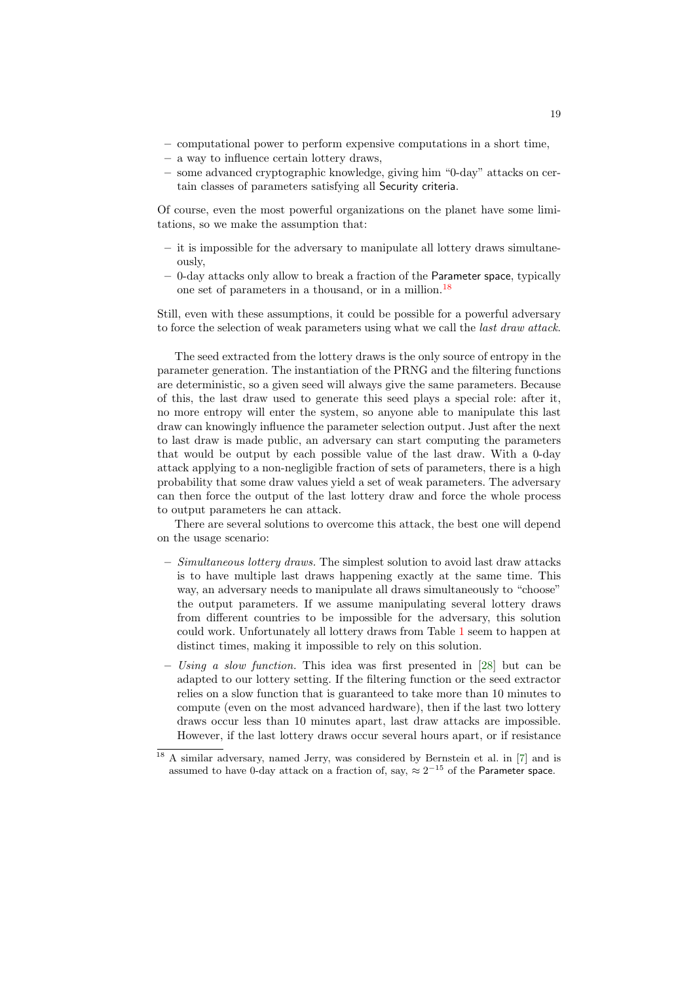- computational power to perform expensive computations in a short time,
- a way to influence certain lottery draws,
- some advanced cryptographic knowledge, giving him "0-day" attacks on certain classes of parameters satisfying all Security criteria.

Of course, even the most powerful organizations on the planet have some limitations, so we make the assumption that:

- it is impossible for the adversary to manipulate all lottery draws simultaneously,
- 0-day attacks only allow to break a fraction of the Parameter space, typically one set of parameters in a thousand, or in a million.[18](#page-18-0)

Still, even with these assumptions, it could be possible for a powerful adversary to force the selection of weak parameters using what we call the *last draw attack*.

The seed extracted from the lottery draws is the only source of entropy in the parameter generation. The instantiation of the PRNG and the filtering functions are deterministic, so a given seed will always give the same parameters. Because of this, the last draw used to generate this seed plays a special role: after it, no more entropy will enter the system, so anyone able to manipulate this last draw can knowingly influence the parameter selection output. Just after the next to last draw is made public, an adversary can start computing the parameters that would be output by each possible value of the last draw. With a 0-day attack applying to a non-negligible fraction of sets of parameters, there is a high probability that some draw values yield a set of weak parameters. The adversary can then force the output of the last lottery draw and force the whole process to output parameters he can attack.

There are several solutions to overcome this attack, the best one will depend on the usage scenario:

- $-$  Simultaneous lottery draws. The simplest solution to avoid last draw attacks is to have multiple last draws happening exactly at the same time. This way, an adversary needs to manipulate all draws simultaneously to "choose" the output parameters. If we assume manipulating several lottery draws from different countries to be impossible for the adversary, this solution could work. Unfortunately all lottery draws from Table [1](#page-15-0) seem to happen at distinct times, making it impossible to rely on this solution.
- Using a slow function. This idea was first presented in [\[28\]](#page-33-8) but can be adapted to our lottery setting. If the filtering function or the seed extractor relies on a slow function that is guaranteed to take more than 10 minutes to compute (even on the most advanced hardware), then if the last two lottery draws occur less than 10 minutes apart, last draw attacks are impossible. However, if the last lottery draws occur several hours apart, or if resistance

<span id="page-18-0"></span><sup>18</sup> A similar adversary, named Jerry, was considered by Bernstein et al. in [\[7\]](#page-32-1) and is assumed to have 0-day attack on a fraction of, say,  $\approx 2^{-15}$  of the Parameter space.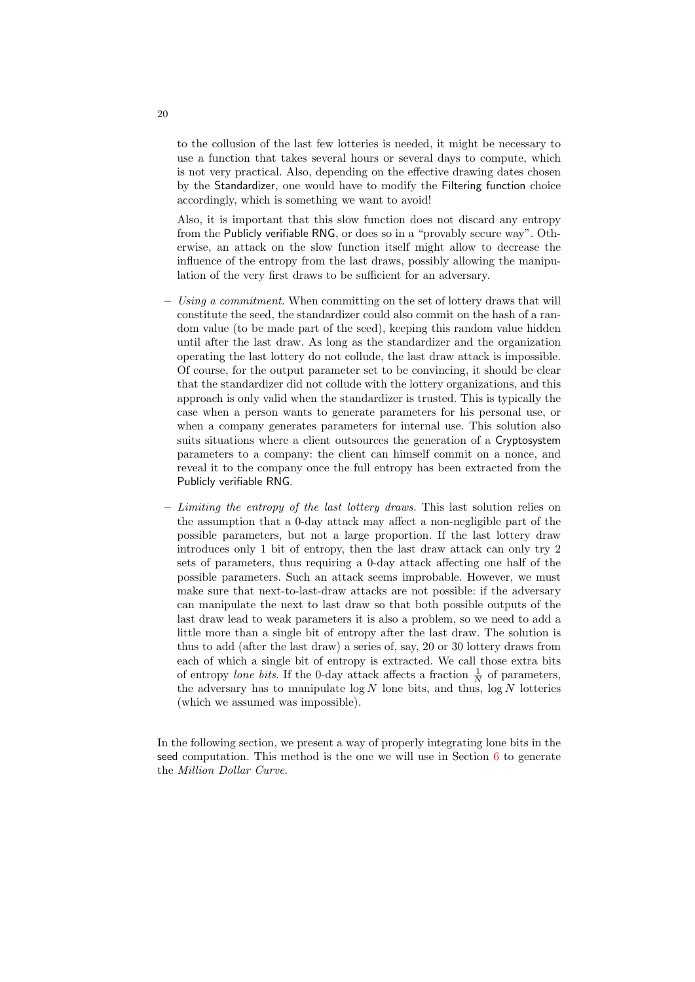to the collusion of the last few lotteries is needed, it might be necessary to use a function that takes several hours or several days to compute, which is not very practical. Also, depending on the effective drawing dates chosen by the Standardizer, one would have to modify the Filtering function choice accordingly, which is something we want to avoid!

Also, it is important that this slow function does not discard any entropy from the Publicly verifiable RNG, or does so in a "provably secure way". Otherwise, an attack on the slow function itself might allow to decrease the influence of the entropy from the last draws, possibly allowing the manipulation of the very first draws to be sufficient for an adversary.

- $-$  Using a commitment. When committing on the set of lottery draws that will constitute the seed, the standardizer could also commit on the hash of a random value (to be made part of the seed), keeping this random value hidden until after the last draw. As long as the standardizer and the organization operating the last lottery do not collude, the last draw attack is impossible. Of course, for the output parameter set to be convincing, it should be clear that the standardizer did not collude with the lottery organizations, and this approach is only valid when the standardizer is trusted. This is typically the case when a person wants to generate parameters for his personal use, or when a company generates parameters for internal use. This solution also suits situations where a client outsources the generation of a Cryptosystem parameters to a company: the client can himself commit on a nonce, and reveal it to the company once the full entropy has been extracted from the Publicly verifiable RNG.
- $-$  Limiting the entropy of the last lottery draws. This last solution relies on the assumption that a 0-day attack may affect a non-negligible part of the possible parameters, but not a large proportion. If the last lottery draw introduces only 1 bit of entropy, then the last draw attack can only try 2 sets of parameters, thus requiring a 0-day attack affecting one half of the possible parameters. Such an attack seems improbable. However, we must make sure that next-to-last-draw attacks are not possible: if the adversary can manipulate the next to last draw so that both possible outputs of the last draw lead to weak parameters it is also a problem, so we need to add a little more than a single bit of entropy after the last draw. The solution is thus to add (after the last draw) a series of, say, 20 or 30 lottery draws from each of which a single bit of entropy is extracted. We call those extra bits of entropy lone bits. If the 0-day attack affects a fraction  $\frac{1}{N}$  of parameters, the adversary has to manipulate  $log N$  lone bits, and thus,  $log N$  lotteries (which we assumed was impossible).

In the following section, we present a way of properly integrating lone bits in the seed computation. This method is the one we will use in Section [6](#page-26-0) to generate the Million Dollar Curve.

20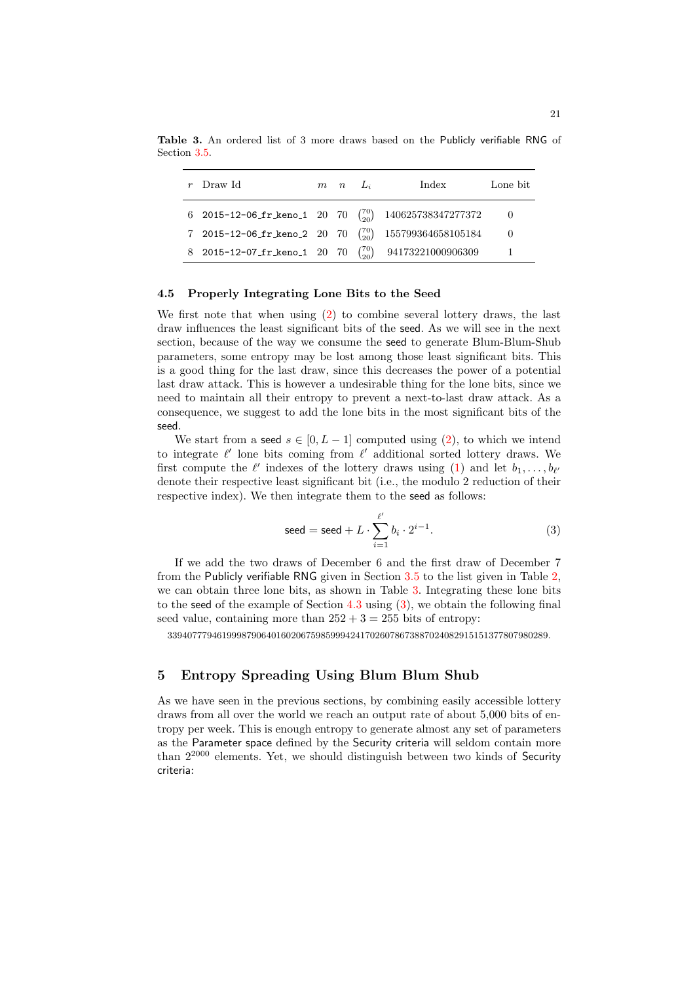<span id="page-20-1"></span>

| $r$ Draw Id                                                      | $m \quad n \quad L_i$ | Index              | Lone bit |
|------------------------------------------------------------------|-----------------------|--------------------|----------|
| 6 2015-12-06_fr_keno_1 20 70 $\binom{70}{20}$ 140625738347277372 |                       |                    |          |
| 7 2015-12-06_fr_keno_2 20 70 $\binom{70}{20}$                    |                       | 155799364658105184 |          |
| 8 2015-12-07_fr_keno_1 20 70                                     |                       | 94173221000906309  |          |

Table 3. An ordered list of 3 more draws based on the Publicly verifiable RNG of Section [3.5.](#page-14-0)

#### <span id="page-20-0"></span>4.5 Properly Integrating Lone Bits to the Seed

We first note that when using [\(2\)](#page-16-2) to combine several lottery draws, the last draw influences the least significant bits of the seed. As we will see in the next section, because of the way we consume the seed to generate Blum-Blum-Shub parameters, some entropy may be lost among those least significant bits. This is a good thing for the last draw, since this decreases the power of a potential last draw attack. This is however a undesirable thing for the lone bits, since we need to maintain all their entropy to prevent a next-to-last draw attack. As a consequence, we suggest to add the lone bits in the most significant bits of the seed.

We start from a seed  $s \in [0, L - 1]$  computed using [\(2\)](#page-16-2), to which we intend to integrate  $\ell'$  lone bits coming from  $\ell'$  additional sorted lottery draws. We first compute the  $\ell'$  indexes of the lottery draws using [\(1\)](#page-13-0) and let  $b_1, \ldots, b_{\ell'}$ denote their respective least significant bit (i.e., the modulo 2 reduction of their respective index). We then integrate them to the seed as follows:

<span id="page-20-2"></span>
$$
\text{seed} = \text{seed} + L \cdot \sum_{i=1}^{\ell'} b_i \cdot 2^{i-1}.\tag{3}
$$

If we add the two draws of December 6 and the first draw of December 7 from the Publicly verifiable RNG given in Section  $3.5$  to the list given in Table  $2$ , we can obtain three lone bits, as shown in Table [3.](#page-20-1) Integrating these lone bits to the seed of the example of Section [4.3](#page-17-3) using [\(3\)](#page-20-2), we obtain the following final seed value, containing more than  $252 + 3 = 255$  bits of entropy:

33940777946199987906401602067598599942417026078673887024082915151377807980289.

# 5 Entropy Spreading Using Blum Blum Shub

As we have seen in the previous sections, by combining easily accessible lottery draws from all over the world we reach an output rate of about 5,000 bits of entropy per week. This is enough entropy to generate almost any set of parameters as the Parameter space defined by the Security criteria will seldom contain more than  $2^{2000}$  elements. Yet, we should distinguish between two kinds of Security criteria: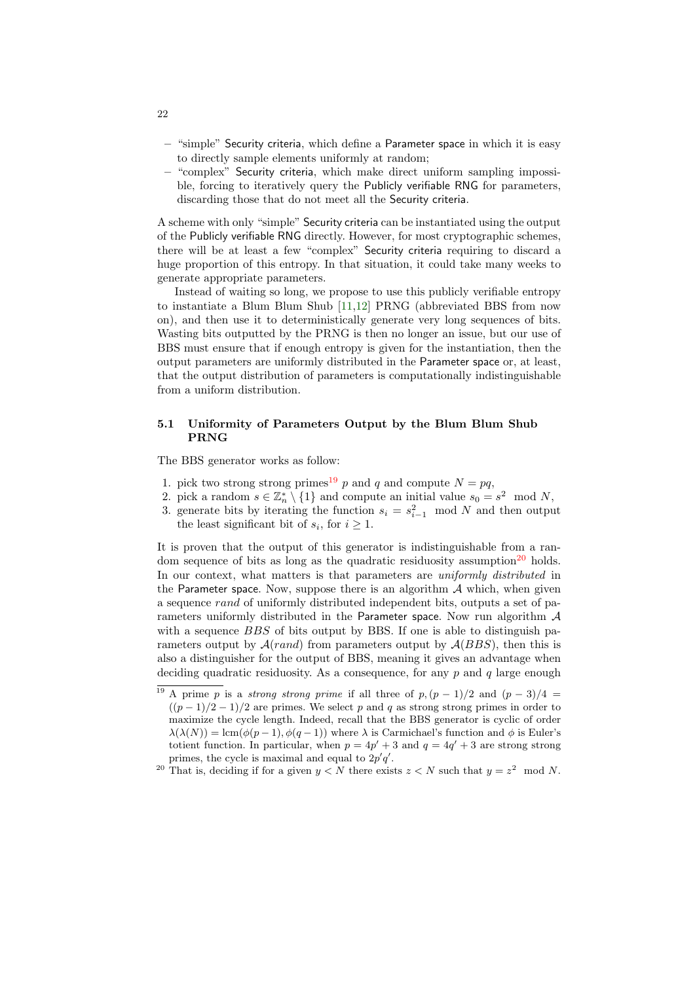- "simple" Security criteria, which define a Parameter space in which it is easy to directly sample elements uniformly at random;
- "complex" Security criteria, which make direct uniform sampling impossible, forcing to iteratively query the Publicly verifiable RNG for parameters, discarding those that do not meet all the Security criteria.

A scheme with only "simple" Security criteria can be instantiated using the output of the Publicly verifiable RNG directly. However, for most cryptographic schemes, there will be at least a few "complex" Security criteria requiring to discard a huge proportion of this entropy. In that situation, it could take many weeks to generate appropriate parameters.

Instead of waiting so long, we propose to use this publicly verifiable entropy to instantiate a Blum Blum Shub [\[11,](#page-32-14)[12\]](#page-32-15) PRNG (abbreviated BBS from now on), and then use it to deterministically generate very long sequences of bits. Wasting bits outputted by the PRNG is then no longer an issue, but our use of BBS must ensure that if enough entropy is given for the instantiation, then the output parameters are uniformly distributed in the Parameter space or, at least, that the output distribution of parameters is computationally indistinguishable from a uniform distribution.

#### 5.1 Uniformity of Parameters Output by the Blum Blum Shub PRNG

The BBS generator works as follow:

- 1. pick two strong strong primes<sup>[19](#page-21-0)</sup> p and q and compute  $N = pq$ ,
- 2. pick a random  $s \in \mathbb{Z}_n^* \setminus \{1\}$  and compute an initial value  $s_0 = s^2 \mod N$ ,
- 3. generate bits by iterating the function  $s_i = s_{i-1}^2 \mod N$  and then output the least significant bit of  $s_i$ , for  $i \geq 1$ .

It is proven that the output of this generator is indistinguishable from a ran-dom sequence of bits as long as the quadratic residuosity assumption<sup>[20](#page-21-1)</sup> holds. In our context, what matters is that parameters are *uniformly distributed* in the Parameter space. Now, suppose there is an algorithm  $A$  which, when given a sequence rand of uniformly distributed independent bits, outputs a set of parameters uniformly distributed in the Parameter space. Now run algorithm  $A$ with a sequence *BBS* of bits output by BBS. If one is able to distinguish parameters output by  $A(rand)$  from parameters output by  $A(BBS)$ , then this is also a distinguisher for the output of BBS, meaning it gives an advantage when deciding quadratic residuosity. As a consequence, for any  $p$  and  $q$  large enough

22

<span id="page-21-0"></span><sup>&</sup>lt;sup>19</sup> A prime p is a *strong strong prime* if all three of  $p,(p-1)/2$  and  $(p-3)/4 =$  $((p-1)/2-1)/2$  are primes. We select p and q as strong strong primes in order to maximize the cycle length. Indeed, recall that the BBS generator is cyclic of order  $\lambda(\lambda(N)) = \text{lcm}(\phi(p-1), \phi(q-1))$  where  $\lambda$  is Carmichael's function and  $\phi$  is Euler's totient function. In particular, when  $p = 4p' + 3$  and  $q = 4q' + 3$  are strong strong primes, the cycle is maximal and equal to  $2p'q'$ .

<span id="page-21-1"></span><sup>&</sup>lt;sup>20</sup> That is, deciding if for a given  $y < N$  there exists  $z < N$  such that  $y = z<sup>2</sup>$  mod N.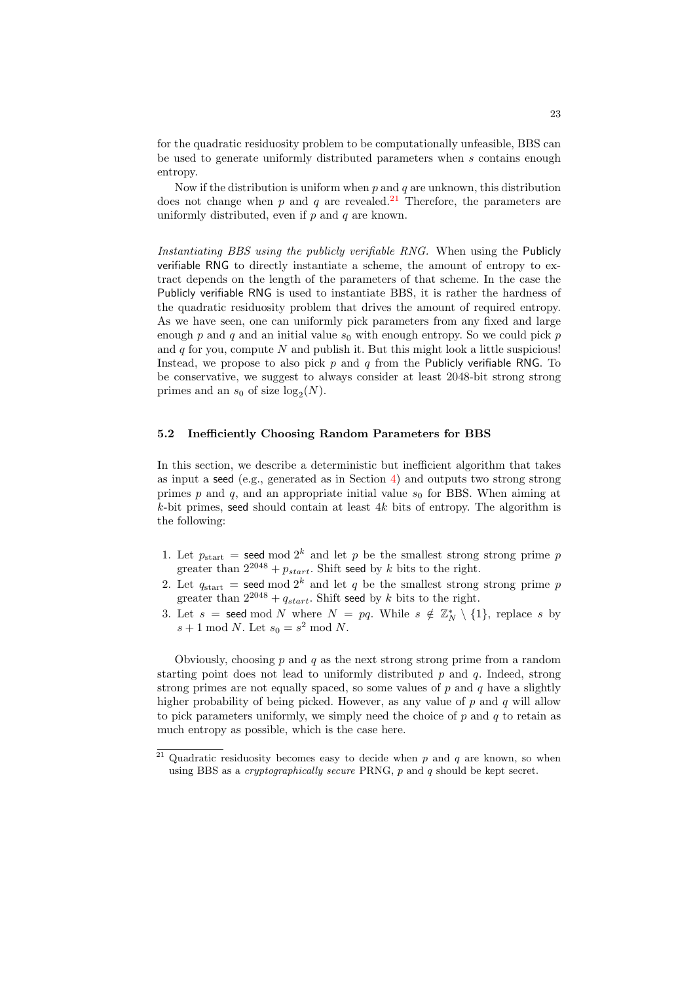for the quadratic residuosity problem to be computationally unfeasible, BBS can be used to generate uniformly distributed parameters when s contains enough entropy.

Now if the distribution is uniform when  $p$  and  $q$  are unknown, this distribution does not change when p and q are revealed.<sup>[21](#page-22-0)</sup> Therefore, the parameters are uniformly distributed, even if  $p$  and  $q$  are known.

Instantiating BBS using the publicly verifiable RNG. When using the Publicly verifiable RNG to directly instantiate a scheme, the amount of entropy to extract depends on the length of the parameters of that scheme. In the case the Publicly verifiable RNG is used to instantiate BBS, it is rather the hardness of the quadratic residuosity problem that drives the amount of required entropy. As we have seen, one can uniformly pick parameters from any fixed and large enough  $p$  and  $q$  and an initial value  $s_0$  with enough entropy. So we could pick  $p$ and  $q$  for you, compute  $N$  and publish it. But this might look a little suspicious! Instead, we propose to also pick  $p$  and  $q$  from the Publicly verifiable RNG. To be conservative, we suggest to always consider at least 2048-bit strong strong primes and an  $s_0$  of size  $log_2(N)$ .

#### 5.2 Inefficiently Choosing Random Parameters for BBS

In this section, we describe a deterministic but inefficient algorithm that takes as input a seed (e.g., generated as in Section [4\)](#page-16-0) and outputs two strong strong primes p and q, and an appropriate initial value  $s_0$  for BBS. When aiming at k-bit primes, seed should contain at least  $4k$  bits of entropy. The algorithm is the following:

- 1. Let  $p_{\text{start}} = \text{seed mod } 2^k$  and let p be the smallest strong strong prime p greater than  $2^{2048} + p_{start}$ . Shift seed by k bits to the right.
- 2. Let  $q_{\text{start}} = \text{seed mod } 2^k$  and let q be the smallest strong strong prime p greater than  $2^{2048} + q_{start}$ . Shift seed by k bits to the right.
- 3. Let  $s =$  seed mod N where  $N = pq$ . While  $s \notin \mathbb{Z}_N^* \setminus \{1\}$ , replace s by  $s+1 \mod N$ . Let  $s_0 = s^2 \mod N$ .

Obviously, choosing p and q as the next strong strong prime from a random starting point does not lead to uniformly distributed  $p$  and  $q$ . Indeed, strong strong primes are not equally spaced, so some values of  $p$  and  $q$  have a slightly higher probability of being picked. However, as any value of  $p$  and  $q$  will allow to pick parameters uniformly, we simply need the choice of  $p$  and  $q$  to retain as much entropy as possible, which is the case here.

<span id="page-22-0"></span><sup>&</sup>lt;sup>21</sup> Quadratic residuosity becomes easy to decide when p and q are known, so when using BBS as a *cryptographically secure* PRNG,  $p$  and  $q$  should be kept secret.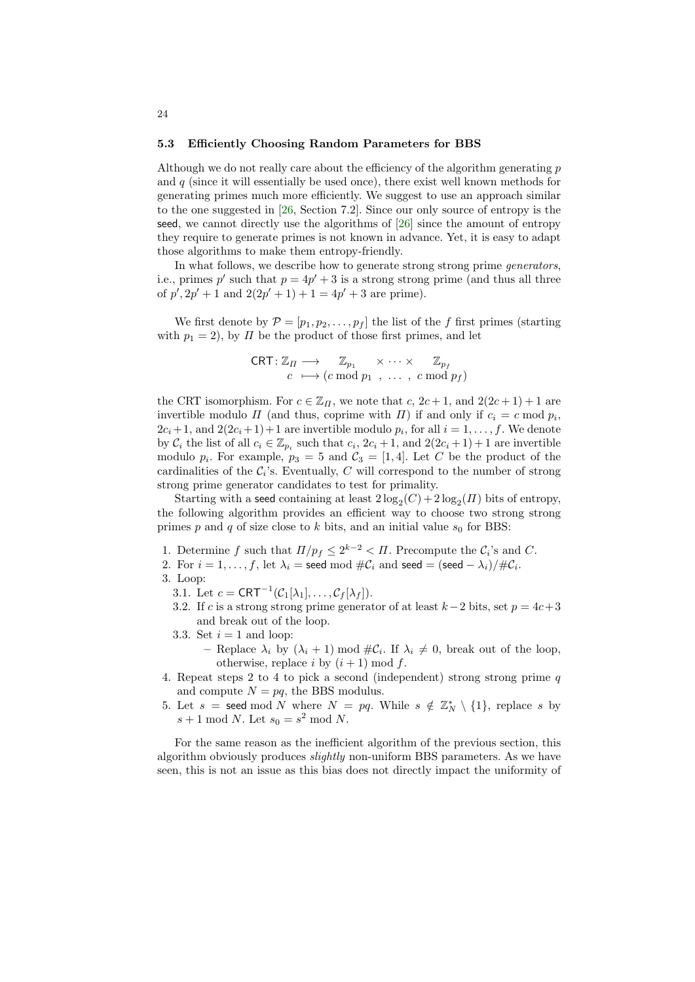#### <span id="page-23-1"></span>5.3 Efficiently Choosing Random Parameters for BBS

Although we do not really care about the efficiency of the algorithm generating  $p$ and  $q$  (since it will essentially be used once), there exist well known methods for generating primes much more efficiently. We suggest to use an approach similar to the one suggested in [\[26,](#page-33-15) Section 7.2]. Since our only source of entropy is the seed, we cannot directly use the algorithms of  $[26]$  since the amount of entropy they require to generate primes is not known in advance. Yet, it is easy to adapt those algorithms to make them entropy-friendly.

In what follows, we describe how to generate strong strong prime *generators*, i.e., primes p' such that  $p = 4p' + 3$  is a strong strong prime (and thus all three of  $p', 2p' + 1$  and  $2(2p' + 1) + 1 = 4p' + 3$  are prime).

We first denote by  $\mathcal{P} = [p_1, p_2, \dots, p_f]$  the list of the f first primes (starting with  $p_1 = 2$ , by  $\Pi$  be the product of those first primes, and let

$$
\begin{array}{ccc}\n\text{CRT}: \mathbb{Z}_{\Pi} \longrightarrow & \mathbb{Z}_{p_1} & \times \cdots \times & \mathbb{Z}_{p_f} \\
c \longmapsto (c \bmod p_1, \ldots, c \bmod p_f)\n\end{array}
$$

the CRT isomorphism. For  $c \in \mathbb{Z}_H$ , we note that  $c, 2c + 1$ , and  $2(2c + 1) + 1$  are invertible modulo  $\Pi$  (and thus, coprime with  $\Pi$ ) if and only if  $c_i = c \mod p_i$ ,  $2c_i+1$ , and  $2(2c_i+1)+1$  are invertible modulo  $p_i$ , for all  $i=1,\ldots,f$ . We denote by  $C_i$  the list of all  $c_i \in \mathbb{Z}_{p_i}$  such that  $c_i$ ,  $2c_i + 1$ , and  $2(2c_i + 1) + 1$  are invertible modulo  $p_i$ . For example,  $p_3 = 5$  and  $\mathcal{C}_3 = [1, 4]$ . Let C be the product of the cardinalities of the  $C_i$ 's. Eventually, C will correspond to the number of strong strong prime generator candidates to test for primality.

Starting with a seed containing at least  $2\log_2(C) + 2\log_2(I)$  bits of entropy, the following algorithm provides an efficient way to choose two strong strong primes p and q of size close to k bits, and an initial value  $s_0$  for BBS:

- 1. Determine f such that  $\prod/p_f \leq 2^{k-2} < \Pi$ . Precompute the  $\mathcal{C}_i$ 's and C.
- 2. For  $i = 1, ..., f$ , let  $\lambda_i$  = seed mod  $\#\mathcal{C}_i$  and seed = (seed  $\lambda_i$ )/ $\#\mathcal{C}_i$ .
- 3. Loop:
	- 3.1. Let  $c = \text{CRT}^{-1}(\mathcal{C}_1[\lambda_1], \dots, \mathcal{C}_f[\lambda_f]).$
	- 3.2. If c is a strong strong prime generator of at least  $k-2$  bits, set  $p = 4c+3$ and break out of the loop.
	- 3.3. Set  $i = 1$  and loop:
		- Replace  $\lambda_i$  by  $(\lambda_i + 1) \mod \#C_i$ . If  $\lambda_i \neq 0$ , break out of the loop, otherwise, replace i by  $(i + 1) \mod f$ .
- <span id="page-23-0"></span>4. Repeat steps 2 to 4 to pick a second (independent) strong strong prime q and compute  $N = pq$ , the BBS modulus.
- 5. Let  $s =$  seed mod N where  $N = pq$ . While  $s \notin \mathbb{Z}_N^* \setminus \{1\}$ , replace s by  $s+1 \mod N$ . Let  $s_0 = s^2 \mod N$ .

For the same reason as the inefficient algorithm of the previous section, this algorithm obviously produces slightly non-uniform BBS parameters. As we have seen, this is not an issue as this bias does not directly impact the uniformity of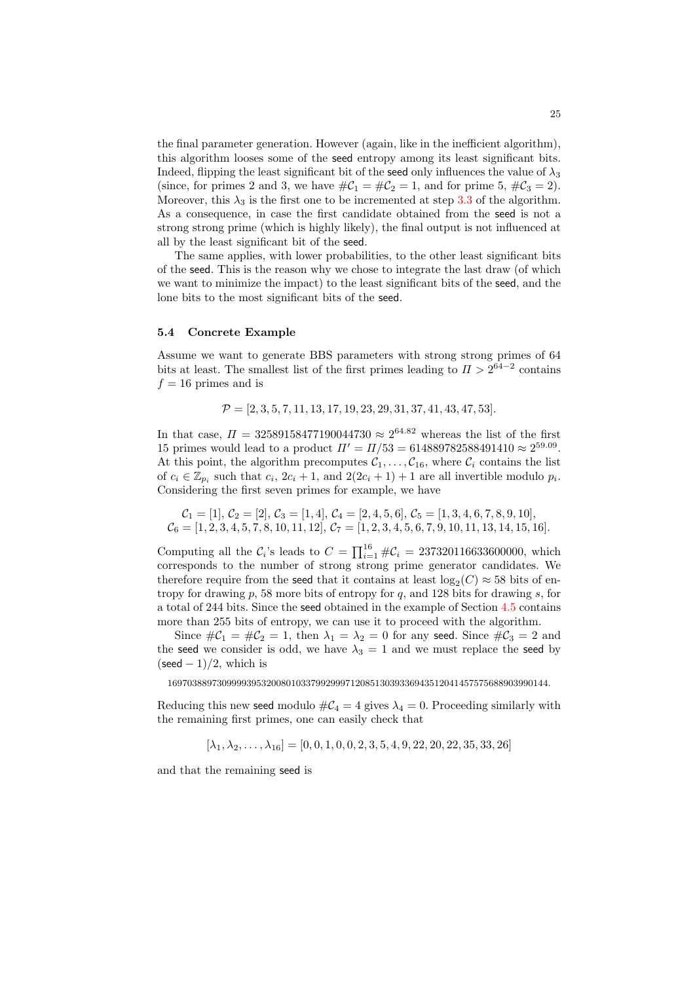the final parameter generation. However (again, like in the inefficient algorithm), this algorithm looses some of the seed entropy among its least significant bits. Indeed, flipping the least significant bit of the seed only influences the value of  $\lambda_3$ (since, for primes 2 and 3, we have  $\#\mathcal{C}_1 = \#\mathcal{C}_2 = 1$ , and for prime 5,  $\#\mathcal{C}_3 = 2$ ). Moreover, this  $\lambda_3$  is the first one to be incremented at step [3.3](#page-23-0) of the algorithm. As a consequence, in case the first candidate obtained from the seed is not a strong strong prime (which is highly likely), the final output is not influenced at all by the least significant bit of the seed.

The same applies, with lower probabilities, to the other least significant bits of the seed. This is the reason why we chose to integrate the last draw (of which we want to minimize the impact) to the least significant bits of the seed, and the lone bits to the most significant bits of the seed.

#### <span id="page-24-0"></span>5.4 Concrete Example

Assume we want to generate BBS parameters with strong strong primes of 64 bits at least. The smallest list of the first primes leading to  $\Pi > 2^{64-2}$  contains  $f = 16$  primes and is

$$
\mathcal{P} = [2, 3, 5, 7, 11, 13, 17, 19, 23, 29, 31, 37, 41, 43, 47, 53].
$$

In that case,  $\Pi = 32589158477190044730 \approx 2^{64.82}$  whereas the list of the first 15 primes would lead to a product  $\Pi' = \Pi/53 = 614889782588491410 \approx 2^{59.09}$ . At this point, the algorithm precomputes  $C_1, \ldots, C_{16}$ , where  $C_i$  contains the list of  $c_i \in \mathbb{Z}_{p_i}$  such that  $c_i$ ,  $2c_i + 1$ , and  $2(2c_i + 1) + 1$  are all invertible modulo  $p_i$ . Considering the first seven primes for example, we have

$$
\mathcal{C}_1 = [1], \mathcal{C}_2 = [2], \mathcal{C}_3 = [1, 4], \mathcal{C}_4 = [2, 4, 5, 6], \mathcal{C}_5 = [1, 3, 4, 6, 7, 8, 9, 10], \n\mathcal{C}_6 = [1, 2, 3, 4, 5, 7, 8, 10, 11, 12], \mathcal{C}_7 = [1, 2, 3, 4, 5, 6, 7, 9, 10, 11, 13, 14, 15, 16].
$$

Computing all the  $C_i$ 's leads to  $C = \prod_{i=1}^{16} \#C_i = 237320116633600000$ , which corresponds to the number of strong strong prime generator candidates. We therefore require from the seed that it contains at least  $log_2(C) \approx 58$  bits of entropy for drawing  $p$ , 58 more bits of entropy for  $q$ , and 128 bits for drawing  $s$ , for a total of 244 bits. Since the seed obtained in the example of Section [4.5](#page-20-0) contains more than 255 bits of entropy, we can use it to proceed with the algorithm.

Since  $\#\mathcal{C}_1 = \#\mathcal{C}_2 = 1$ , then  $\lambda_1 = \lambda_2 = 0$  for any seed. Since  $\#\mathcal{C}_3 = 2$  and the seed we consider is odd, we have  $\lambda_3 = 1$  and we must replace the seed by  $(\text{seed} - 1)/2$ , which is

16970388973099993953200801033799299971208513039336943512041457575688903990144.

Reducing this new seed modulo  $\#C_4 = 4$  gives  $\lambda_4 = 0$ . Proceeding similarly with the remaining first primes, one can easily check that

 $[\lambda_1, \lambda_2, \ldots, \lambda_{16}] = [0, 0, 1, 0, 0, 2, 3, 5, 4, 9, 22, 20, 22, 35, 33, 26]$ 

and that the remaining seed is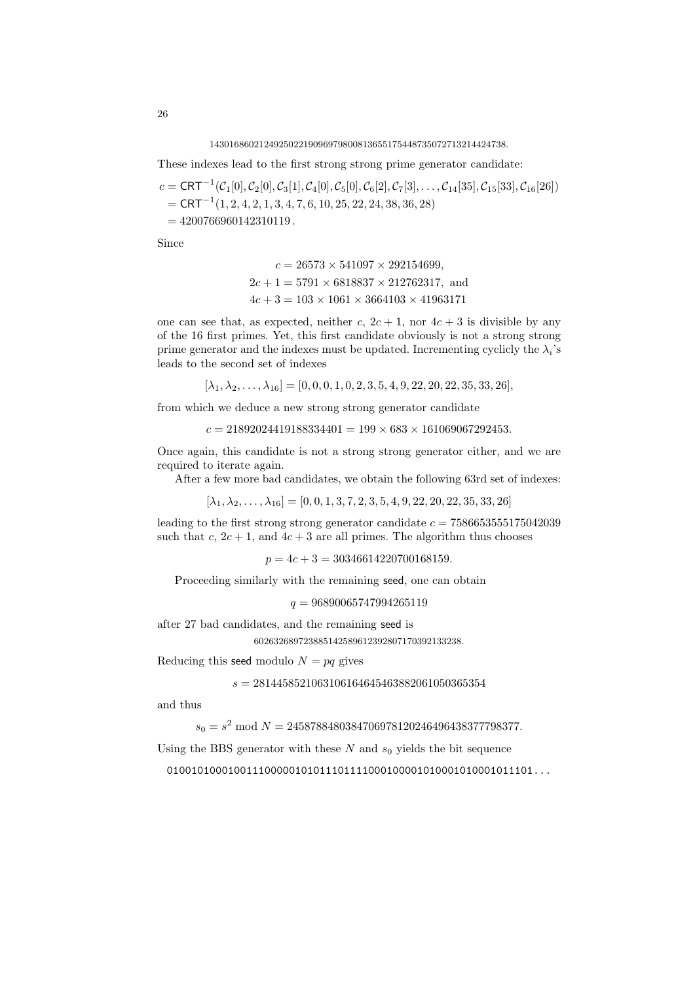143016860212492502219096979800813655175448735072713214424738.

These indexes lead to the first strong strong prime generator candidate:

$$
c = \text{CRT}^{-1}(C_1[0], C_2[0], C_3[1], C_4[0], C_5[0], C_6[2], C_7[3], \dots, C_{14}[35], C_{15}[33], C_{16}[26])
$$
  
= \text{CRT}^{-1}(1, 2, 4, 2, 1, 3, 4, 7, 6, 10, 25, 22, 24, 38, 36, 28)  
= 4200766960142310119.

Since

$$
c = 26573 \times 541097 \times 292154699,
$$
  
\n
$$
2c + 1 = 5791 \times 6818837 \times 212762317
$$
, and  
\n
$$
4c + 3 = 103 \times 1061 \times 3664103 \times 41963171
$$

one can see that, as expected, neither c,  $2c + 1$ , nor  $4c + 3$  is divisible by any of the 16 first primes. Yet, this first candidate obviously is not a strong strong prime generator and the indexes must be updated. Incrementing cyclicly the  $\lambda_i$ 's leads to the second set of indexes

 $[\lambda_1, \lambda_2, \ldots, \lambda_{16}] = [0, 0, 0, 1, 0, 2, 3, 5, 4, 9, 22, 20, 22, 35, 33, 26],$ 

from which we deduce a new strong strong generator candidate

 $c = 21892024419188334401 = 199 \times 683 \times 161069067292453.$ 

Once again, this candidate is not a strong strong generator either, and we are required to iterate again.

After a few more bad candidates, we obtain the following 63rd set of indexes:

$$
[\lambda_1, \lambda_2, \dots, \lambda_{16}] = [0, 0, 1, 3, 7, 2, 3, 5, 4, 9, 22, 20, 22, 35, 33, 26]
$$

leading to the first strong strong generator candidate  $c = 7586653555175042039$ such that c,  $2c + 1$ , and  $4c + 3$  are all primes. The algorithm thus chooses

 $p = 4c + 3 = 30346614220700168159.$ 

Proceeding similarly with the remaining seed, one can obtain

 $q = 96890065747994265119$ 

after 27 bad candidates, and the remaining seed is 602632689723885142589612392807170392133238.

Reducing this seed modulo  $N = pa$  gives

 $s = 2814458521063106164645463882061050365354$ 

and thus

 $s_0 = s^2 \mod N = 2458788480384706978120246496438377798377.$ 

Using the BBS generator with these  $N$  and  $s_0$  yields the bit sequence

010010100010011100000101011101111000100001010001010001011101...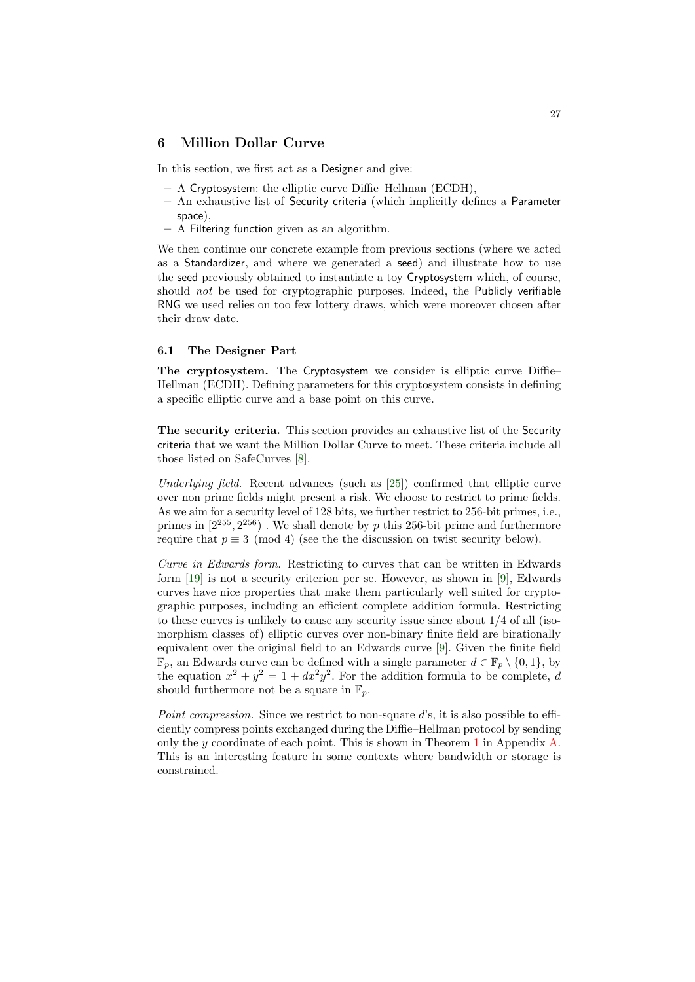# <span id="page-26-0"></span>6 Million Dollar Curve

In this section, we first act as a Designer and give:

- A Cryptosystem: the elliptic curve Diffie–Hellman (ECDH),
- An exhaustive list of Security criteria (which implicitly defines a Parameter space),
- A Filtering function given as an algorithm.

We then continue our concrete example from previous sections (where we acted as a Standardizer, and where we generated a seed) and illustrate how to use the seed previously obtained to instantiate a toy Cryptosystem which, of course, should not be used for cryptographic purposes. Indeed, the Publicly verifiable RNG we used relies on too few lottery draws, which were moreover chosen after their draw date.

# 6.1 The Designer Part

The cryptosystem. The Cryptosystem we consider is elliptic curve Diffie– Hellman (ECDH). Defining parameters for this cryptosystem consists in defining a specific elliptic curve and a base point on this curve.

The security criteria. This section provides an exhaustive list of the Security criteria that we want the Million Dollar Curve to meet. These criteria include all those listed on SafeCurves [\[8\]](#page-32-12).

Underlying field. Recent advances (such as [\[25\]](#page-33-16)) confirmed that elliptic curve over non prime fields might present a risk. We choose to restrict to prime fields. As we aim for a security level of 128 bits, we further restrict to 256-bit primes, i.e., primes in  $[2^{255}, 2^{256})$ . We shall denote by p this 256-bit prime and furthermore require that  $p \equiv 3 \pmod{4}$  (see the the discussion on twist security below).

Curve in Edwards form. Restricting to curves that can be written in Edwards form [\[19\]](#page-33-10) is not a security criterion per se. However, as shown in [\[9\]](#page-32-9), Edwards curves have nice properties that make them particularly well suited for cryptographic purposes, including an efficient complete addition formula. Restricting to these curves is unlikely to cause any security issue since about  $1/4$  of all (isomorphism classes of) elliptic curves over non-binary finite field are birationally equivalent over the original field to an Edwards curve [\[9\]](#page-32-9). Given the finite field  $\mathbb{F}_p$ , an Edwards curve can be defined with a single parameter  $d \in \mathbb{F}_p \setminus \{0, 1\}$ , by the equation  $x^2 + y^2 = 1 + dx^2y^2$ . For the addition formula to be complete, d should furthermore not be a square in  $\mathbb{F}_n$ .

Point compression. Since we restrict to non-square d's, it is also possible to efficiently compress points exchanged during the Diffie–Hellman protocol by sending only the y coordinate of each point. This is shown in Theorem [1](#page-34-8) in Appendix  $\mathbf{A}$ . This is an interesting feature in some contexts where bandwidth or storage is constrained.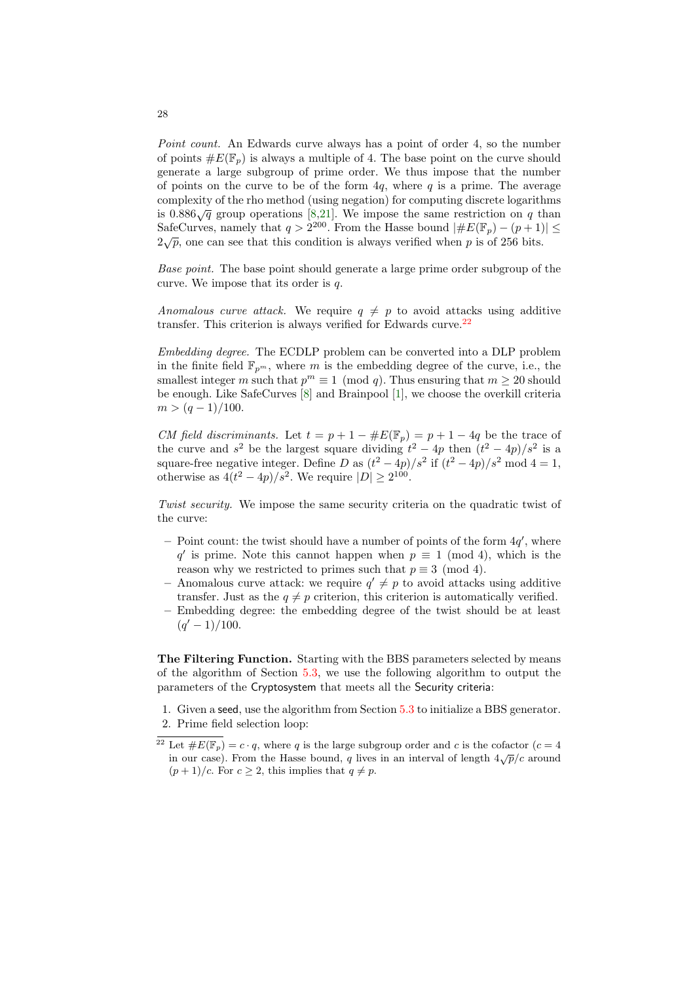Point count. An Edwards curve always has a point of order 4, so the number of points  $\#E(\mathbb{F}_p)$  is always a multiple of 4. The base point on the curve should generate a large subgroup of prime order. We thus impose that the number of points on the curve to be of the form  $4q$ , where q is a prime. The average complexity of the rho method (using negation) for computing discrete logarithms is  $0.886\sqrt{q}$  group operations [\[8,](#page-32-12)[21\]](#page-33-17). We impose the same restriction on q than SafeCurves, namely that  $q > 2^{200}$ . From the Hasse bound  $|\#E(\mathbb{F}_p) - (p+1)| \le$  $2\sqrt{p}$ , one can see that this condition is always verified when p is of 256 bits.

Base point. The base point should generate a large prime order subgroup of the curve. We impose that its order is  $q$ .

Anomalous curve attack. We require  $q \neq p$  to avoid attacks using additive transfer. This criterion is always verified for Edwards curve. $^{22}$  $^{22}$  $^{22}$ 

Embedding degree. The ECDLP problem can be converted into a DLP problem in the finite field  $\mathbb{F}_{n^m}$ , where m is the embedding degree of the curve, i.e., the smallest integer m such that  $p^m \equiv 1 \pmod{q}$ . Thus ensuring that  $m \ge 20$  should be enough. Like SafeCurves [\[8\]](#page-32-12) and Brainpool [\[1\]](#page-32-2), we choose the overkill criteria  $m > (q-1)/100$ .

CM field discriminants. Let  $t = p + 1 - \#E(\mathbb{F}_p) = p + 1 - 4q$  be the trace of the curve and  $s^2$  be the largest square dividing  $t^2 - 4p$  then  $(t^2 - 4p)/s^2$  is a square-free negative integer. Define D as  $(t^2 - 4p)/s^2$  if  $(t^2 - 4p)/s^2$  mod  $4 = 1$ , otherwise as  $4(t^2-4p)/s^2$ . We require  $|D| \ge 2^{100}$ .

Twist security. We impose the same security criteria on the quadratic twist of the curve:

- Point count: the twist should have a number of points of the form  $4q'$ , where q' is prime. Note this cannot happen when  $p \equiv 1 \pmod{4}$ , which is the reason why we restricted to primes such that  $p \equiv 3 \pmod{4}$ .
- Anomalous curve attack: we require  $q' \neq p$  to avoid attacks using additive transfer. Just as the  $q \neq p$  criterion, this criterion is automatically verified.
- Embedding degree: the embedding degree of the twist should be at least  $(q'-1)/100$ .

The Filtering Function. Starting with the BBS parameters selected by means of the algorithm of Section [5.3,](#page-23-1) we use the following algorithm to output the parameters of the Cryptosystem that meets all the Security criteria:

1. Given a seed, use the algorithm from Section [5.3](#page-23-1) to initialize a BBS generator. 2. Prime field selection loop:

28

<span id="page-27-0"></span><sup>&</sup>lt;sup>22</sup> Let  $\#E(\mathbb{F}_p) = c \cdot q$ , where q is the large subgroup order and c is the cofactor  $(c = 4$ in our case). From the Hasse bound, q lives in an interval of length  $4\sqrt{p}/c$  around  $(p+1)/c$ . For  $c \geq 2$ , this implies that  $q \neq p$ .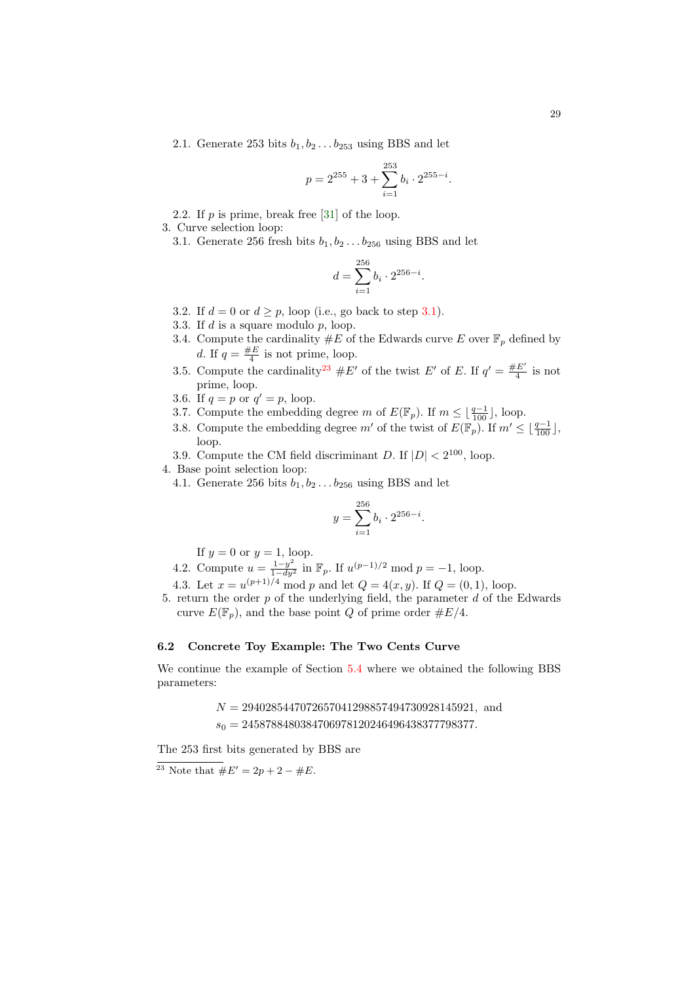2.1. Generate 253 bits  $b_1, b_2 \ldots b_{253}$  using BBS and let

$$
p = 2^{255} + 3 + \sum_{i=1}^{253} b_i \cdot 2^{255 - i}.
$$

2.2. If  $p$  is prime, break free [\[31\]](#page-33-18) of the loop.

- <span id="page-28-1"></span>3. Curve selection loop:
	- 3.1. Generate 256 fresh bits  $b_1, b_2 \ldots b_{256}$  using BBS and let

$$
d = \sum_{i=1}^{256} b_i \cdot 2^{256 - i}.
$$

- <span id="page-28-5"></span>3.2. If  $d = 0$  or  $d \geq p$ , loop (i.e., go back to step [3.1\)](#page-28-1).
- <span id="page-28-4"></span>3.3. If  $d$  is a square modulo  $p$ , loop.
- <span id="page-28-3"></span>3.4. Compute the cardinality  $#E$  of the Edwards curve E over  $\mathbb{F}_p$  defined by d. If  $q = \frac{\#E}{4}$  is not prime, loop.
- <span id="page-28-6"></span>3.5. Compute the cardinality<sup>[23](#page-28-2)</sup>  $#E'$  of the twist E' of E. If  $q' = \frac{#E'}{4}$  $rac{E}{4}$  is not prime, loop.
- 3.6. If  $q = p$  or  $q' = p$ , loop.
- 3.7. Compute the embedding degree m of  $E(\mathbb{F}_p)$ . If  $m \leq \lfloor \frac{q-1}{100} \rfloor$ , loop.
- 3.8. Compute the embedding degree  $m'$  of the twist of  $E(\mathbb{F}_p)$ . If  $m' \leq \lfloor \frac{q-1}{100} \rfloor$ , loop.

3.9. Compute the CM field discriminant D. If  $|D| < 2^{100}$ , loop.

4. Base point selection loop:

4.1. Generate 256 bits  $b_1, b_2 \ldots b_{256}$  using BBS and let

$$
y = \sum_{i=1}^{256} b_i \cdot 2^{256 - i}.
$$

If  $y = 0$  or  $y = 1$ , loop.

4.2. Compute 
$$
u = \frac{1-y^2}{1-dy^2}
$$
 in  $\mathbb{F}_p$ . If  $u^{(p-1)/2} \mod p = -1$ , loop.

4.3. Let  $x = u^{(p+1)/4} \mod p$  and let  $Q = 4(x, y)$ . If  $Q = (0, 1)$ , loop.

5. return the order  $p$  of the underlying field, the parameter  $d$  of the Edwards curve  $E(\mathbb{F}_p)$ , and the base point Q of prime order  $\#E/4$ .

# <span id="page-28-0"></span>6.2 Concrete Toy Example: The Two Cents Curve

We continue the example of Section [5.4](#page-24-0) where we obtained the following BBS parameters:

> $N = 2940285447072657041298857494730928145921$ , and  $s_0 = 2458788480384706978120246496438377798377.$

The 253 first bits generated by BBS are

<span id="page-28-2"></span><sup>23</sup> Note that  $#E' = 2p + 2 - \#E$ .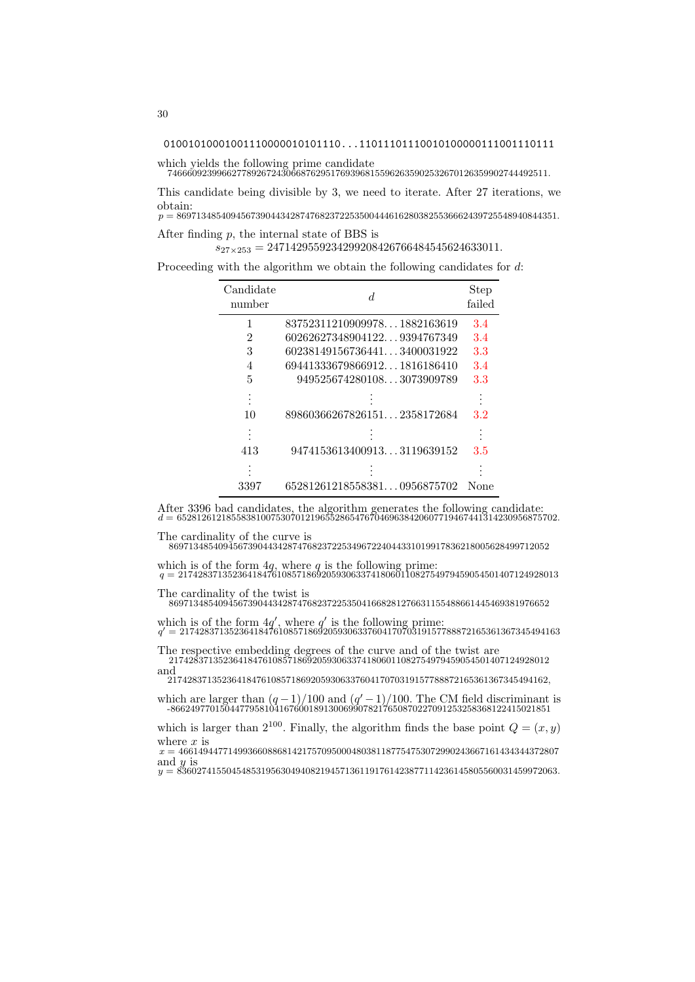01001010001001110000010101110...11011101110010100000111001110111

which yields the following prime candidate 74666092399662778926724306687629517693968155962635902532670126359902744492511.

This candidate being divisible by 3, we need to iterate. After 27 iterations, we obtain:  $p = 86971348540945673904434287476823722535004446162803825536662439725548940844351.$ 

After finding p, the internal state of BBS is

 $s_{27\times253} = 2471429559234299208426766484545624633011.$ 

Proceeding with the algorithm we obtain the following candidates for d:

| Candidate<br>number | d.                          | <b>Step</b><br>failed |
|---------------------|-----------------------------|-----------------------|
| 1                   | 837523112109099781882163619 | 3.4                   |
| 2                   | 602626273489041229394767349 | 3.4                   |
| 3                   | 602381491567364413400031922 | 3.3                   |
| 4                   | 694413336798669121816186410 | 3.4                   |
| 5                   | 9495256742801083073909789   | 3.3                   |
|                     |                             |                       |
| 10                  | 898603662678261512358172684 | 3.2                   |
|                     |                             |                       |
| 413                 | 94741536134009133119639152  | 3.5                   |
|                     |                             |                       |
| 3397                | 652812612185583810956875702 | None                  |

After 3396 bad candidates, the algorithm generates the following candidate:<br> $d = 65281261218558381007530701219655286547670469638420607719467441314230956875702$ .

The cardinality of the curve is 86971348540945673904434287476823722534967224044331019917836218005628499712052

which is of the form  $4q$ , where q is the following prime:<br> $q = 21742837135236418476108571869205930633741806011082754979459054501407124928013$ 

The cardinality of the twist is 86971348540945673904434287476823722535041668281276631155488661445469381976652

which is of the form  $4q'$ , where q' is the following prime:<br> $q' = 21742837135236418476108571869205930633760417070319157788872165361367345494163$ 

The respective embedding degrees of the curve and of the twist are 21742837135236418476108571869205930633741806011082754979459054501407124928012 and

21742837135236418476108571869205930633760417070319157788872165361367345494162,

which are larger than  $(q-1)/100$  and  $(q'-1)/100$ . The CM field discriminant is -86624977015044779581041676001891300699078217650870227091253258368122415021851

which is larger than  $2^{100}$ . Finally, the algorithm finds the base point  $Q = (x, y)$ where  $x$  is

 $x = 46614944771499366088681421757095000480381187754753072990243667161434344372807$ and  $y$  is

 $y = 83602741550454853195630494082194571361191761423877114236145805560031459972063.$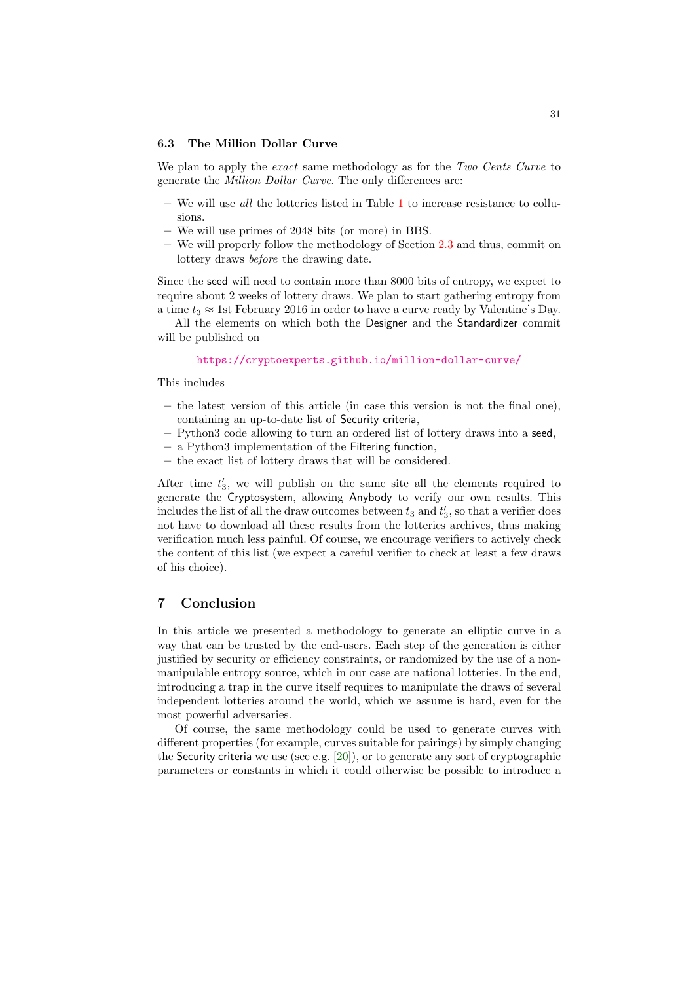#### 6.3 The Million Dollar Curve

We plan to apply the exact same methodology as for the Two Cents Curve to generate the Million Dollar Curve. The only differences are:

- We will use *all* the lotteries listed in Table [1](#page-15-0) to increase resistance to collusions.
- We will use primes of 2048 bits (or more) in BBS.
- We will properly follow the methodology of Section [2.3](#page-8-0) and thus, commit on lottery draws before the drawing date.

Since the seed will need to contain more than 8000 bits of entropy, we expect to require about 2 weeks of lottery draws. We plan to start gathering entropy from a time  $t_3 \approx 1$ st February 2016 in order to have a curve ready by Valentine's Day.

All the elements on which both the Designer and the Standardizer commit will be published on

<https://cryptoexperts.github.io/million-dollar-curve/>

This includes

- the latest version of this article (in case this version is not the final one), containing an up-to-date list of Security criteria,
- Python3 code allowing to turn an ordered list of lottery draws into a seed,
- a Python3 implementation of the Filtering function,
- the exact list of lottery draws that will be considered.

After time  $t_3'$ , we will publish on the same site all the elements required to generate the Cryptosystem, allowing Anybody to verify our own results. This includes the list of all the draw outcomes between  $t_3$  and  $t'_3$ , so that a verifier does not have to download all these results from the lotteries archives, thus making verification much less painful. Of course, we encourage verifiers to actively check the content of this list (we expect a careful verifier to check at least a few draws of his choice).

# 7 Conclusion

In this article we presented a methodology to generate an elliptic curve in a way that can be trusted by the end-users. Each step of the generation is either justified by security or efficiency constraints, or randomized by the use of a nonmanipulable entropy source, which in our case are national lotteries. In the end, introducing a trap in the curve itself requires to manipulate the draws of several independent lotteries around the world, which we assume is hard, even for the most powerful adversaries.

Of course, the same methodology could be used to generate curves with different properties (for example, curves suitable for pairings) by simply changing the Security criteria we use (see e.g.  $[20]$ ), or to generate any sort of cryptographic parameters or constants in which it could otherwise be possible to introduce a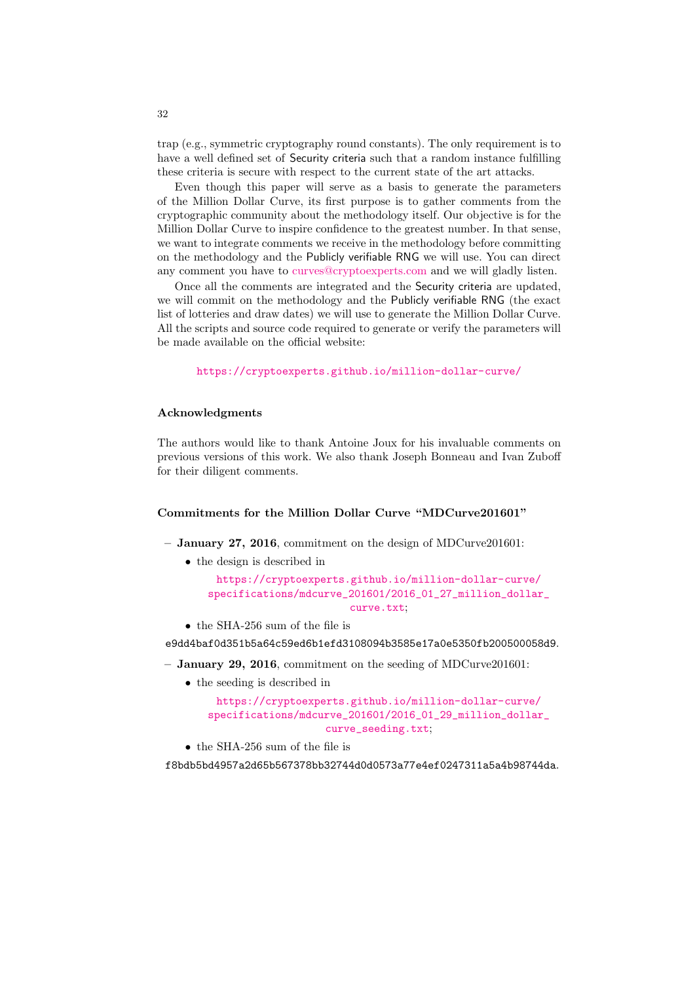trap (e.g., symmetric cryptography round constants). The only requirement is to have a well defined set of Security criteria such that a random instance fulfilling these criteria is secure with respect to the current state of the art attacks.

Even though this paper will serve as a basis to generate the parameters of the Million Dollar Curve, its first purpose is to gather comments from the cryptographic community about the methodology itself. Our objective is for the Million Dollar Curve to inspire confidence to the greatest number. In that sense, we want to integrate comments we receive in the methodology before committing on the methodology and the Publicly verifiable RNG we will use. You can direct any comment you have to [curves@cryptoexperts.com](mailto:curves@cryptoexperts.com) and we will gladly listen.

Once all the comments are integrated and the Security criteria are updated, we will commit on the methodology and the Publicly verifiable RNG (the exact list of lotteries and draw dates) we will use to generate the Million Dollar Curve. All the scripts and source code required to generate or verify the parameters will be made available on the official website:

<https://cryptoexperts.github.io/million-dollar-curve/>

#### Acknowledgments

The authors would like to thank Antoine Joux for his invaluable comments on previous versions of this work. We also thank Joseph Bonneau and Ivan Zuboff for their diligent comments.

#### Commitments for the Million Dollar Curve "MDCurve201601"

- January 27, 2016, commitment on the design of MDCurve201601:
	- the design is described in

[https://cryptoexperts.github.io/million-dollar-curve/](https://cryptoexperts.github.io/million-dollar-curve/specifications/mdcurve_201601/2016_01_27_million_dollar_curve.txt) [specifications/mdcurve\\_201601/2016\\_01\\_27\\_million\\_dollar\\_](https://cryptoexperts.github.io/million-dollar-curve/specifications/mdcurve_201601/2016_01_27_million_dollar_curve.txt) [curve.txt](https://cryptoexperts.github.io/million-dollar-curve/specifications/mdcurve_201601/2016_01_27_million_dollar_curve.txt);

• the SHA-256 sum of the file is

e9dd4baf0d351b5a64c59ed6b1efd3108094b3585e17a0e5350fb200500058d9.

 $-$  January 29, 2016, commitment on the seeding of MDCurve 201601:

• the seeding is described in

```
https://cryptoexperts.github.io/million-dollar-curve/
specifications/mdcurve_201601/2016_01_29_million_dollar_
                   curve_seeding.txt;
```
• the SHA-256 sum of the file is

f8bdb5bd4957a2d65b567378bb32744d0d0573a77e4ef0247311a5a4b98744da.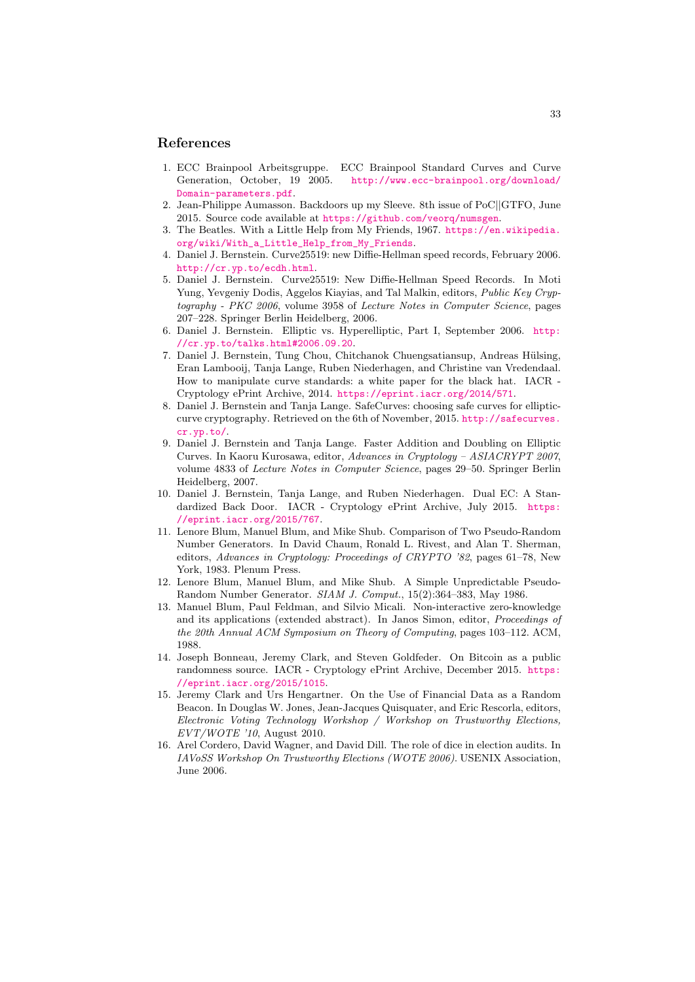#### References

- <span id="page-32-2"></span>1. ECC Brainpool Arbeitsgruppe. ECC Brainpool Standard Curves and Curve Generation, October, 19 2005. [http://www.ecc-brainpool.org/download/](http://www.ecc-brainpool.org/download/Domain-parameters.pdf) [Domain-parameters.pdf](http://www.ecc-brainpool.org/download/Domain-parameters.pdf).
- <span id="page-32-4"></span>2. Jean-Philippe Aumasson. Backdoors up my Sleeve. 8th issue of PoC||GTFO, June 2015. Source code available at <https://github.com/veorq/numsgen>.
- <span id="page-32-0"></span>3. The Beatles. With a Little Help from My Friends, 1967. [https://en.wikipedia.](https://en.wikipedia.org/wiki/With_a_Little_Help_from_My_Friends) [org/wiki/With\\_a\\_Little\\_Help\\_from\\_My\\_Friends](https://en.wikipedia.org/wiki/With_a_Little_Help_from_My_Friends).
- <span id="page-32-10"></span>4. Daniel J. Bernstein. Curve25519: new Diffie-Hellman speed records, February 2006. <http://cr.yp.to/ecdh.html>.
- <span id="page-32-11"></span>5. Daniel J. Bernstein. Curve25519: New Diffie-Hellman Speed Records. In Moti Yung, Yevgeniy Dodis, Aggelos Kiayias, and Tal Malkin, editors, Public Key Cryptography - PKC 2006, volume 3958 of Lecture Notes in Computer Science, pages 207–228. Springer Berlin Heidelberg, 2006.
- <span id="page-32-13"></span>6. Daniel J. Bernstein. Elliptic vs. Hyperelliptic, Part I, September 2006. [http:](http://cr.yp.to/talks.html#2006.09.20) [//cr.yp.to/talks.html#2006.09.20](http://cr.yp.to/talks.html#2006.09.20).
- <span id="page-32-1"></span>7. Daniel J. Bernstein, Tung Chou, Chitchanok Chuengsatiansup, Andreas Hülsing, Eran Lambooij, Tanja Lange, Ruben Niederhagen, and Christine van Vredendaal. How to manipulate curve standards: a white paper for the black hat. IACR - Cryptology ePrint Archive, 2014. <https://eprint.iacr.org/2014/571>.
- <span id="page-32-12"></span>8. Daniel J. Bernstein and Tanja Lange. SafeCurves: choosing safe curves for ellipticcurve cryptography. Retrieved on the 6th of November, 2015. [http://safecurves.](http://safecurves.cr.yp.to/) [cr.yp.to/](http://safecurves.cr.yp.to/).
- <span id="page-32-9"></span>9. Daniel J. Bernstein and Tanja Lange. Faster Addition and Doubling on Elliptic Curves. In Kaoru Kurosawa, editor, Advances in Cryptology – ASIACRYPT 2007, volume 4833 of Lecture Notes in Computer Science, pages 29–50. Springer Berlin Heidelberg, 2007.
- <span id="page-32-3"></span>10. Daniel J. Bernstein, Tanja Lange, and Ruben Niederhagen. Dual EC: A Standardized Back Door. IACR - Cryptology ePrint Archive, July 2015. [https:](https://eprint.iacr.org/2015/767) [//eprint.iacr.org/2015/767](https://eprint.iacr.org/2015/767).
- <span id="page-32-14"></span>11. Lenore Blum, Manuel Blum, and Mike Shub. Comparison of Two Pseudo-Random Number Generators. In David Chaum, Ronald L. Rivest, and Alan T. Sherman, editors, Advances in Cryptology: Proceedings of CRYPTO '82, pages 61–78, New York, 1983. Plenum Press.
- <span id="page-32-15"></span>12. Lenore Blum, Manuel Blum, and Mike Shub. A Simple Unpredictable Pseudo-Random Number Generator. SIAM J. Comput., 15(2):364–383, May 1986.
- <span id="page-32-8"></span>13. Manuel Blum, Paul Feldman, and Silvio Micali. Non-interactive zero-knowledge and its applications (extended abstract). In Janos Simon, editor, Proceedings of the 20th Annual ACM Symposium on Theory of Computing, pages 103–112. ACM, 1988.
- <span id="page-32-5"></span>14. Joseph Bonneau, Jeremy Clark, and Steven Goldfeder. On Bitcoin as a public randomness source. IACR - Cryptology ePrint Archive, December 2015. [https:](https://eprint.iacr.org/2015/1015) [//eprint.iacr.org/2015/1015](https://eprint.iacr.org/2015/1015).
- <span id="page-32-6"></span>15. Jeremy Clark and Urs Hengartner. On the Use of Financial Data as a Random Beacon. In Douglas W. Jones, Jean-Jacques Quisquater, and Eric Rescorla, editors, Electronic Voting Technology Workshop / Workshop on Trustworthy Elections, EVT/WOTE '10, August 2010.
- <span id="page-32-7"></span>16. Arel Cordero, David Wagner, and David Dill. The role of dice in election audits. In IAVoSS Workshop On Trustworthy Elections (WOTE 2006). USENIX Association, June 2006.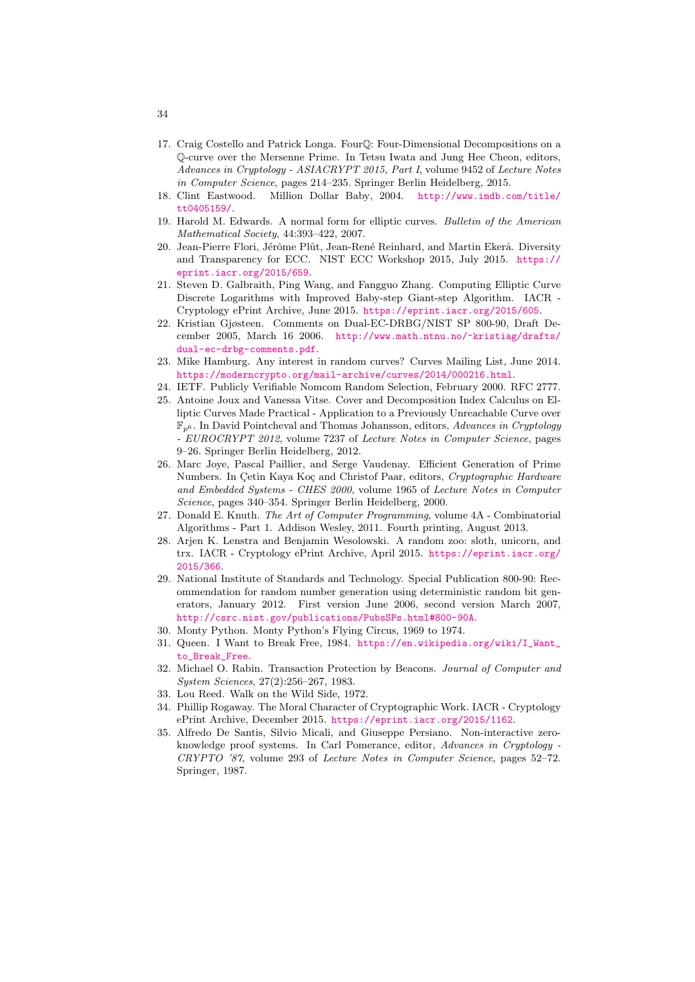- <span id="page-33-11"></span>17. Craig Costello and Patrick Longa. FourQ: Four-Dimensional Decompositions on a Q-curve over the Mersenne Prime. In Tetsu Iwata and Jung Hee Cheon, editors, Advances in Cryptology - ASIACRYPT 2015, Part I, volume 9452 of Lecture Notes in Computer Science, pages 214–235. Springer Berlin Heidelberg, 2015.
- <span id="page-33-3"></span>18. Clint Eastwood. Million Dollar Baby, 2004. [http://www.imdb.com/title/](http://www.imdb.com/title/tt0405159/) [tt0405159/](http://www.imdb.com/title/tt0405159/).
- <span id="page-33-10"></span>19. Harold M. Edwards. A normal form for elliptic curves. Bulletin of the American Mathematical Society, 44:393–422, 2007.
- <span id="page-33-2"></span>20. Jean-Pierre Flori, Jérôme Plût, Jean-René Reinhard, and Martin Ekerå. Diversity and Transparency for ECC. NIST ECC Workshop 2015, July 2015. [https://](https://eprint.iacr.org/2015/659) [eprint.iacr.org/2015/659](https://eprint.iacr.org/2015/659).
- <span id="page-33-17"></span>21. Steven D. Galbraith, Ping Wang, and Fangguo Zhang. Computing Elliptic Curve Discrete Logarithms with Improved Baby-step Giant-step Algorithm. IACR - Cryptology ePrint Archive, June 2015. <https://eprint.iacr.org/2015/605>.
- <span id="page-33-1"></span>22. Kristian Gjøsteen. Comments on Dual-EC-DRBG/NIST SP 800-90, Draft December 2005, March 16 2006. [http://www.math.ntnu.no/~kristiag/drafts/](http://www.math.ntnu.no/~kristiag/drafts/dual-ec-drbg-comments.pdf) [dual-ec-drbg-comments.pdf](http://www.math.ntnu.no/~kristiag/drafts/dual-ec-drbg-comments.pdf).
- <span id="page-33-6"></span>23. Mike Hamburg. Any interest in random curves? Curves Mailing List, June 2014. <https://moderncrypto.org/mail-archive/curves/2014/000216.html>.
- <span id="page-33-7"></span>24. IETF. Publicly Verifiable Nomcom Random Selection, February 2000. RFC 2777.
- <span id="page-33-16"></span>25. Antoine Joux and Vanessa Vitse. Cover and Decomposition Index Calculus on Elliptic Curves Made Practical - Application to a Previously Unreachable Curve over  $\mathbb{F}_{p^6}$ . In David Pointcheval and Thomas Johansson, editors, Advances in Cryptology - EUROCRYPT 2012, volume 7237 of Lecture Notes in Computer Science, pages 9–26. Springer Berlin Heidelberg, 2012.
- <span id="page-33-15"></span>26. Marc Joye, Pascal Paillier, and Serge Vaudenay. Efficient Generation of Prime Numbers. In Çetin Kaya Koç and Christof Paar, editors, Cryptographic Hardware and Embedded Systems - CHES 2000, volume 1965 of Lecture Notes in Computer Science, pages 340–354. Springer Berlin Heidelberg, 2000.
- <span id="page-33-14"></span>27. Donald E. Knuth. The Art of Computer Programming, volume 4A - Combinatorial Algorithms - Part 1. Addison Wesley, 2011. Fourth printing, August 2013.
- <span id="page-33-8"></span>28. Arjen K. Lenstra and Benjamin Wesolowski. A random zoo: sloth, unicorn, and trx. IACR - Cryptology ePrint Archive, April 2015. [https://eprint.iacr.org/](https://eprint.iacr.org/2015/366) [2015/366](https://eprint.iacr.org/2015/366).
- <span id="page-33-0"></span>29. National Institute of Standards and Technology. Special Publication 800-90: Recommendation for random number generation using deterministic random bit generators, January 2012. First version June 2006, second version March 2007, <http://csrc.nist.gov/publications/PubsSPs.html#800-90A>.
- <span id="page-33-13"></span>30. Monty Python. Monty Python's Flying Circus, 1969 to 1974.
- <span id="page-33-18"></span>31. Queen. I Want to Break Free, 1984. [https://en.wikipedia.org/wiki/I\\_Want\\_](https://en.wikipedia.org/wiki/I_Want_to_Break_Free) [to\\_Break\\_Free](https://en.wikipedia.org/wiki/I_Want_to_Break_Free).
- <span id="page-33-4"></span>32. Michael O. Rabin. Transaction Protection by Beacons. Journal of Computer and System Sciences, 27(2):256–267, 1983.
- <span id="page-33-12"></span>33. Lou Reed. Walk on the Wild Side, 1972.
- <span id="page-33-9"></span>34. Phillip Rogaway. The Moral Character of Cryptographic Work. IACR - Cryptology ePrint Archive, December 2015. <https://eprint.iacr.org/2015/1162>.
- <span id="page-33-5"></span>35. Alfredo De Santis, Silvio Micali, and Giuseppe Persiano. Non-interactive zeroknowledge proof systems. In Carl Pomerance, editor, Advances in Cryptology - CRYPTO '87, volume 293 of Lecture Notes in Computer Science, pages 52–72. Springer, 1987.

34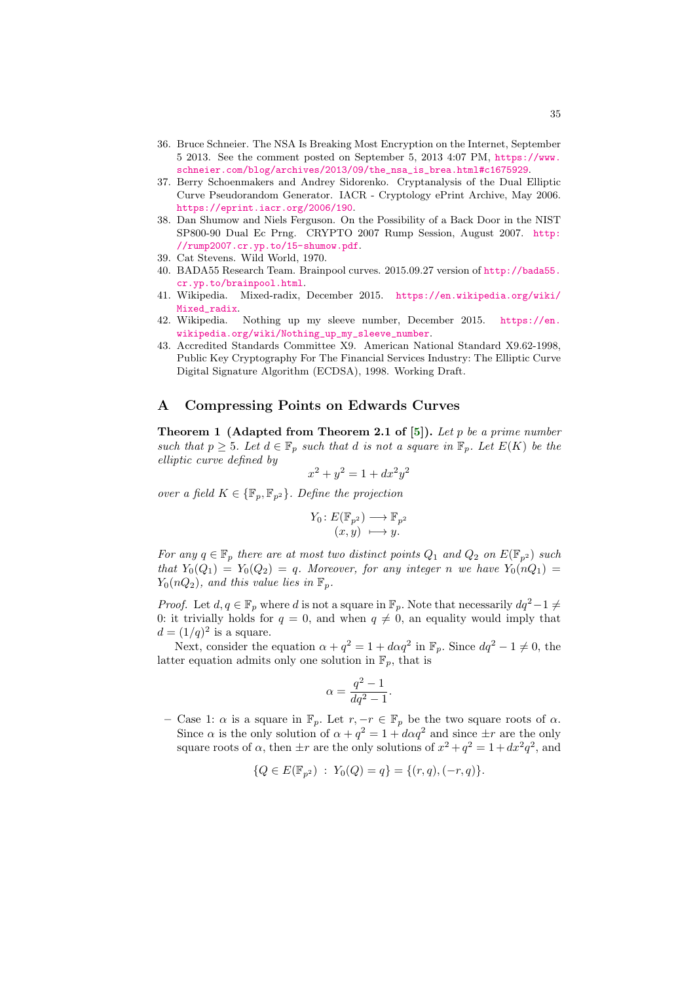- <span id="page-34-4"></span>36. Bruce Schneier. The NSA Is Breaking Most Encryption on the Internet, September 5 2013. See the comment posted on September 5, 2013 4:07 PM, [https://www.](https://www.schneier.com/blog/archives/2013/09/the_nsa_is_brea.html#c1675929) [schneier.com/blog/archives/2013/09/the\\_nsa\\_is\\_brea.html#c1675929](https://www.schneier.com/blog/archives/2013/09/the_nsa_is_brea.html#c1675929).
- <span id="page-34-2"></span>37. Berry Schoenmakers and Andrey Sidorenko. Cryptanalysis of the Dual Elliptic Curve Pseudorandom Generator. IACR - Cryptology ePrint Archive, May 2006. <https://eprint.iacr.org/2006/190>.
- <span id="page-34-3"></span>38. Dan Shumow and Niels Ferguson. On the Possibility of a Back Door in the NIST SP800-90 Dual Ec Prng. CRYPTO 2007 Rump Session, August 2007. [http:](http://rump2007.cr.yp.to/15-shumow.pdf) [//rump2007.cr.yp.to/15-shumow.pdf](http://rump2007.cr.yp.to/15-shumow.pdf).
- <span id="page-34-6"></span>39. Cat Stevens. Wild World, 1970.
- <span id="page-34-5"></span>40. BADA55 Research Team. Brainpool curves. 2015.09.27 version of [http://bada55.](http://bada55.cr.yp.to/brainpool.html) [cr.yp.to/brainpool.html](http://bada55.cr.yp.to/brainpool.html).
- <span id="page-34-7"></span>41. Wikipedia. Mixed-radix, December 2015. [https://en.wikipedia.org/wiki/](https://en.wikipedia.org/wiki/Mixed_radix) [Mixed\\_radix](https://en.wikipedia.org/wiki/Mixed_radix).
- <span id="page-34-0"></span>42. Wikipedia. Nothing up my sleeve number, December 2015. [https://en.](https://en.wikipedia.org/wiki/Nothing_up_my_sleeve_number) [wikipedia.org/wiki/Nothing\\_up\\_my\\_sleeve\\_number](https://en.wikipedia.org/wiki/Nothing_up_my_sleeve_number).
- <span id="page-34-1"></span>43. Accredited Standards Committee X9. American National Standard X9.62-1998, Public Key Cryptography For The Financial Services Industry: The Elliptic Curve Digital Signature Algorithm (ECDSA), 1998. Working Draft.

# <span id="page-34-9"></span>A Compressing Points on Edwards Curves

<span id="page-34-8"></span>**Theorem 1 (Adapted from Theorem 2.1 of [\[5\]](#page-32-11)).** Let p be a prime number such that  $p \geq 5$ . Let  $d \in \mathbb{F}_p$  such that d is not a square in  $\mathbb{F}_p$ . Let  $E(K)$  be the elliptic curve defined by

$$
x^2 + y^2 = 1 + dx^2 y^2
$$

over a field  $K \in {\mathbb{F}_p}, {\mathbb{F}_p}$ . Define the projection

$$
Y_0: E(\mathbb{F}_{p^2}) \longrightarrow \mathbb{F}_{p^2}
$$

$$
(x, y) \longmapsto y.
$$

For any  $q \in \mathbb{F}_p$  there are at most two distinct points  $Q_1$  and  $Q_2$  on  $E(\mathbb{F}_{p^2})$  such that  $Y_0(Q_1) = Y_0(Q_2) = q$ . Moreover, for any integer n we have  $Y_0(nQ_1) =$  $Y_0(nQ_2)$ , and this value lies in  $\mathbb{F}_n$ .

*Proof.* Let  $d, q \in \mathbb{F}_p$  where d is not a square in  $\mathbb{F}_p$ . Note that necessarily  $dq^2-1 \neq$ 0: it trivially holds for  $q = 0$ , and when  $q \neq 0$ , an equality would imply that  $d = (1/q)^2$  is a square.

Next, consider the equation  $\alpha + q^2 = 1 + d\alpha q^2$  in  $\mathbb{F}_p$ . Since  $dq^2 - 1 \neq 0$ , the latter equation admits only one solution in  $\mathbb{F}_p$ , that is

$$
\alpha = \frac{q^2 - 1}{dq^2 - 1}.
$$

– Case 1:  $\alpha$  is a square in  $\mathbb{F}_p$ . Let  $r, -r \in \mathbb{F}_p$  be the two square roots of  $\alpha$ . Since  $\alpha$  is the only solution of  $\alpha + q^2 = 1 + d\alpha q^2$  and since  $\pm r$  are the only square roots of  $\alpha$ , then  $\pm r$  are the only solutions of  $x^2 + q^2 = 1 + dx^2 q^2$ , and

$$
\{Q \in E(\mathbb{F}_{p^2}) : Y_0(Q) = q\} = \{(r, q), (-r, q)\}.
$$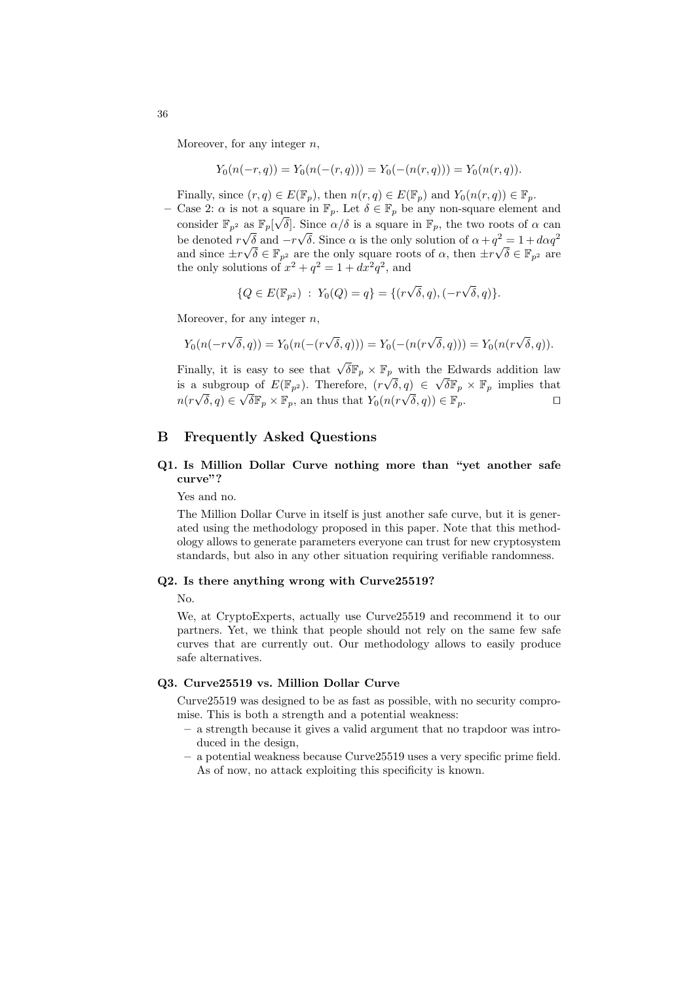Moreover, for any integer  $n$ ,

$$
Y_0(n(-r,q)) = Y_0(n(-(r,q))) = Y_0(-(n(r,q))) = Y_0(n(r,q)).
$$

Finally, since  $(r, q) \in E(\mathbb{F}_p)$ , then  $n(r, q) \in E(\mathbb{F}_p)$  and  $Y_0(n(r, q)) \in \mathbb{F}_p$ .

– Case 2:  $\alpha$  is not a square in  $\mathbb{F}_p$ . Let  $\delta \in \mathbb{F}_p$  be any non-square element and consider  $\mathbb{F}_{p^2}$  as  $\mathbb{F}_p[\sqrt{\delta}]$ . Since  $\alpha/\delta$  is a square in  $\mathbb{F}_p$ , the two roots of  $\alpha$  can be denoted  $r\sqrt{\delta}$  and  $-r\sqrt{\delta}$ . Since  $\alpha$  is the only solution of  $\alpha + q^2 = 1 + d\alpha q^2$ and since  $\pm r\sqrt{\delta} \in \mathbb{F}_{p^2}$  are the only square roots of  $\alpha$ , then  $\pm r\sqrt{\delta} \in \mathbb{F}_{p^2}$  are the only solutions of  $x^2 + q^2 = 1 + dx^2 q^2$ , and

$$
\{Q \in E(\mathbb{F}_{p^2}) \; : \; Y_0(Q) = q\} = \{(r\sqrt{\delta}, q), (-r\sqrt{\delta}, q)\}.
$$

Moreover, for any integer  $n$ ,

$$
Y_0(n(-r\sqrt{\delta}, q)) = Y_0(n(-(r\sqrt{\delta}, q))) = Y_0(-(n(r\sqrt{\delta}, q))) = Y_0(n(r\sqrt{\delta}, q)).
$$

Finally, it is easy to see that  $\sqrt{\delta} \mathbb{F}_p \times \mathbb{F}_p$  with the Edwards addition law is a subgroup of  $E(\mathbb{F}_{p^2})$ . Therefore,  $(r\sqrt{\delta}, q) \in \sqrt{\delta}\mathbb{F}_p \times \mathbb{F}_p$  implies that  $n(r\sqrt{\delta}, q) \in \sqrt{\delta} \mathbb{F}_p \times \mathbb{F}_p$ , an thus that  $Y_0(n(r\sqrt{\delta}, q)) \in \mathbb{F}_p$ .

# B Frequently Asked Questions

# Q1. Is Million Dollar Curve nothing more than "yet another safe curve"?

Yes and no.

The Million Dollar Curve in itself is just another safe curve, but it is generated using the methodology proposed in this paper. Note that this methodology allows to generate parameters everyone can trust for new cryptosystem standards, but also in any other situation requiring verifiable randomness.

### Q2. Is there anything wrong with Curve25519?

No.

We, at CryptoExperts, actually use Curve25519 and recommend it to our partners. Yet, we think that people should not rely on the same few safe curves that are currently out. Our methodology allows to easily produce safe alternatives.

# Q3. Curve25519 vs. Million Dollar Curve

Curve25519 was designed to be as fast as possible, with no security compromise. This is both a strength and a potential weakness:

- a strength because it gives a valid argument that no trapdoor was introduced in the design,
- a potential weakness because Curve25519 uses a very specific prime field. As of now, no attack exploiting this specificity is known.

36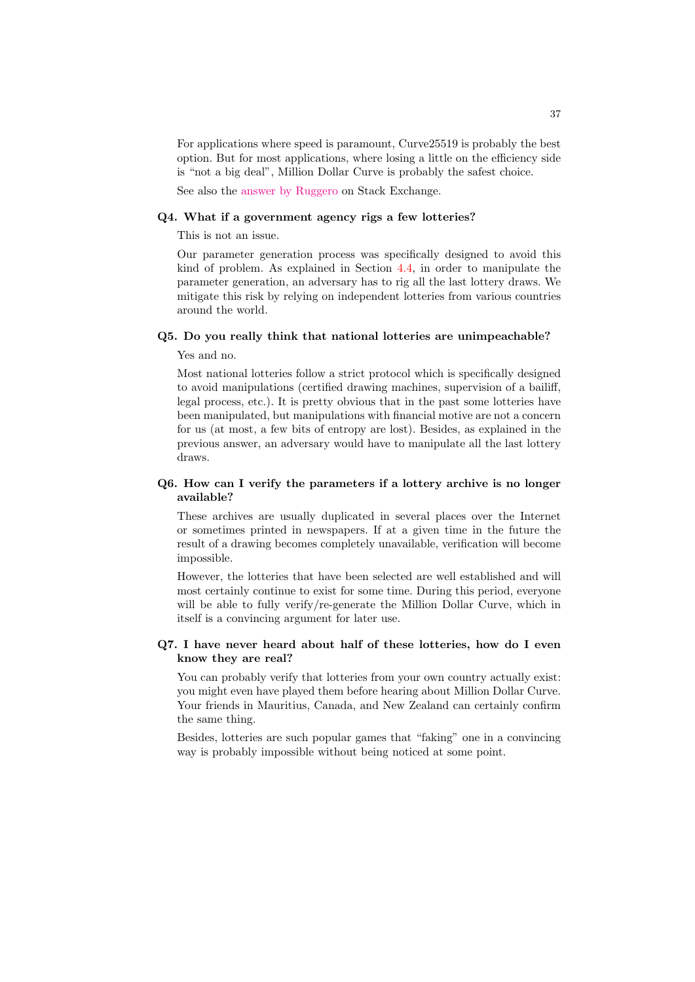For applications where speed is paramount, Curve25519 is probably the best option. But for most applications, where losing a little on the efficiency side is "not a big deal", Million Dollar Curve is probably the safest choice.

See also the [answer by Ruggero](http://crypto.stackexchange.com/questions/31629/curve25519-vs-million-dollar-curve/31654#31654) on Stack Exchange.

#### Q4. What if a government agency rigs a few lotteries?

This is not an issue.

Our parameter generation process was specifically designed to avoid this kind of problem. As explained in Section [4.4,](#page-17-0) in order to manipulate the parameter generation, an adversary has to rig all the last lottery draws. We mitigate this risk by relying on independent lotteries from various countries around the world.

#### Q5. Do you really think that national lotteries are unimpeachable?

Yes and no.

Most national lotteries follow a strict protocol which is specifically designed to avoid manipulations (certified drawing machines, supervision of a bailiff, legal process, etc.). It is pretty obvious that in the past some lotteries have been manipulated, but manipulations with financial motive are not a concern for us (at most, a few bits of entropy are lost). Besides, as explained in the previous answer, an adversary would have to manipulate all the last lottery draws.

# Q6. How can I verify the parameters if a lottery archive is no longer available?

These archives are usually duplicated in several places over the Internet or sometimes printed in newspapers. If at a given time in the future the result of a drawing becomes completely unavailable, verification will become impossible.

However, the lotteries that have been selected are well established and will most certainly continue to exist for some time. During this period, everyone will be able to fully verify/re-generate the Million Dollar Curve, which in itself is a convincing argument for later use.

# Q7. I have never heard about half of these lotteries, how do I even know they are real?

You can probably verify that lotteries from your own country actually exist: you might even have played them before hearing about Million Dollar Curve. Your friends in Mauritius, Canada, and New Zealand can certainly confirm the same thing.

Besides, lotteries are such popular games that "faking" one in a convincing way is probably impossible without being noticed at some point.